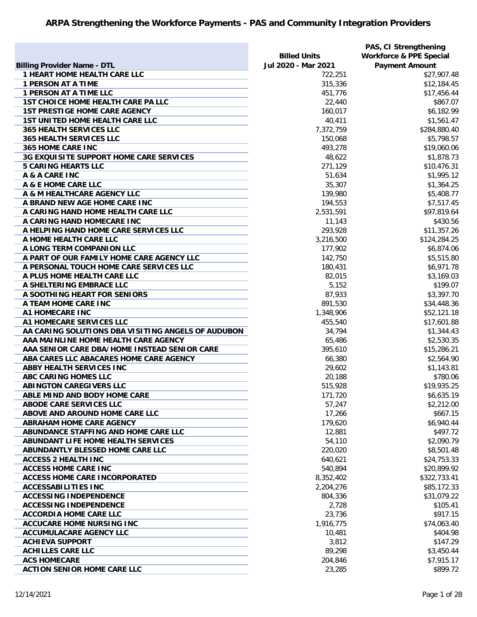|                                                    | <b>Billed Units</b> | PAS, CI Strengthening<br><b>Workforce &amp; PPE Special</b> |
|----------------------------------------------------|---------------------|-------------------------------------------------------------|
| <b>Billing Provider Name - DTL</b>                 | Jul 2020 - Mar 2021 | <b>Payment Amount</b>                                       |
| <b>1 HEART HOME HEALTH CARE LLC</b>                | 722,251             | \$27,907.48                                                 |
| <b>1 PERSON AT A TIME</b>                          | 315,336             | \$12,184.45                                                 |
| <b>1 PERSON AT A TIME LLC</b>                      | 451,776             | \$17,456.44                                                 |
| <b>1ST CHOICE HOME HEALTH CARE PA LLC</b>          | 22,440              | \$867.07                                                    |
| <b>1ST PRESTIGE HOME CARE AGENCY</b>               | 160,017             | \$6,182.99                                                  |
| <b>1ST UNITED HOME HEALTH CARE LLC</b>             | 40,411              | \$1,561.47                                                  |
| <b>365 HEALTH SERVICES LLC</b>                     | 7,372,759           | \$284,880.40                                                |
| <b>365 HEALTH SERVICES LLC</b>                     | 150,068             | \$5,798.57                                                  |
| <b>365 HOME CARE INC</b>                           | 493,278             | \$19,060.06                                                 |
| 3G EXQUISITE SUPPORT HOME CARE SERVICES            | 48,622              | \$1,878.73                                                  |
| <b>5 CARING HEARTS LLC</b>                         | 271,129             | \$10,476.31                                                 |
| A & A CARE INC                                     | 51,634              | \$1,995.12                                                  |
| A & E HOME CARE LLC                                | 35,307              | \$1,364.25                                                  |
| A & M HEALTHCARE AGENCY LLC                        | 139,980             | \$5,408.77                                                  |
| A BRAND NEW AGE HOME CARE INC                      | 194,553             | \$7,517.45                                                  |
| A CARING HAND HOME HEALTH CARE LLC                 | 2,531,591           | \$97,819.64                                                 |
| A CARING HAND HOMECARE INC                         | 11,143              | \$430.56                                                    |
| A HELPING HAND HOME CARE SERVICES LLC              | 293,928             | \$11,357.26                                                 |
| A HOME HEALTH CARE LLC                             | 3,216,500           | \$124,284.25                                                |
| A LONG TERM COMPANION LLC                          | 177,902             | \$6,874.06                                                  |
| A PART OF OUR FAMILY HOME CARE AGENCY LLC          | 142,750             | \$5,515.80                                                  |
| A PERSONAL TOUCH HOME CARE SERVICES LLC            | 180,431             | \$6,971.78                                                  |
| A PLUS HOME HEALTH CARE LLC                        | 82,015              | \$3,169.03                                                  |
| A SHELTERING EMBRACE LLC                           | 5,152               | \$199.07                                                    |
| A SOOTHING HEART FOR SENIORS                       | 87,933              | \$3,397.70                                                  |
| A TEAM HOME CARE INC                               | 891,530             | \$34,448.36                                                 |
| A1 HOMECARE INC                                    | 1,348,906           | \$52,121.18                                                 |
| A1 HOMECARE SERVICES LLC                           | 455,540             | \$17,601.88                                                 |
| AA CARING SOLUTIONS DBA VISITING ANGELS OF AUDUBON | 34,794              | \$1,344.43                                                  |
| AAA MAINLINE HOME HEALTH CARE AGENCY               | 65,486              | \$2,530.35                                                  |
| AAA SENIOR CARE DBA/HOME INSTEAD SENIOR CARE       | 395,610             | \$15,286.21                                                 |
| ABA CARES LLC ABACARES HOME CARE AGENCY            | 66,380              | \$2,564.90                                                  |
| <b>ABBY HEALTH SERVICES INC</b>                    | 29,602              | \$1,143.81                                                  |
| ABC CARING HOMES LLC                               | 20,188              | \$780.06                                                    |
| <b>ABINGTON CAREGIVERS LLC</b>                     | 515,928             | \$19,935.25                                                 |
| ABLE MIND AND BODY HOME CARE                       | 171,720             | \$6,635.19                                                  |
| <b>ABODE CARE SERVICES LLC</b>                     | 57,247              | \$2,212.00                                                  |
| ABOVE AND AROUND HOME CARE LLC                     | 17,266              | \$667.15                                                    |
| <b>ABRAHAM HOME CARE AGENCY</b>                    | 179,620             | \$6,940.44                                                  |
| ABUNDANCE STAFFING AND HOME CARE LLC               | 12,881              | \$497.72                                                    |
| ABUNDANT LIFE HOME HEALTH SERVICES                 | 54,110              | \$2,090.79                                                  |
| ABUNDANTLY BLESSED HOME CARE LLC                   | 220,020             | \$8,501.48                                                  |
| <b>ACCESS 2 HEALTH INC</b>                         | 640,621             | \$24,753.33                                                 |
| <b>ACCESS HOME CARE INC</b>                        | 540,894             | \$20,899.92                                                 |
| <b>ACCESS HOME CARE INCORPORATED</b>               | 8,352,402           | \$322,733.41                                                |
| <b>ACCESSABILITIES INC</b>                         | 2,204,276           | \$85,172.33                                                 |
| <b>ACCESSING INDEPENDENCE</b>                      | 804,336             | \$31,079.22                                                 |
| <b>ACCESSING INDEPENDENCE</b>                      | 2,728               | \$105.41                                                    |
| <b>ACCORDIA HOME CARE LLC</b>                      | 23,736              | \$917.15                                                    |
| <b>ACCUCARE HOME NURSING INC</b>                   | 1,916,775           | \$74,063.40                                                 |
| <b>ACCUMULACARE AGENCY LLC</b>                     | 10,481              | \$404.98                                                    |
| <b>ACHIEVA SUPPORT</b>                             | 3,812               | \$147.29                                                    |
| <b>ACHILLES CARE LLC</b>                           | 89,298              | \$3,450.44                                                  |
| <b>ACS HOMECARE</b>                                | 204,846             | \$7,915.17                                                  |
| <b>ACTION SENIOR HOME CARE LLC</b>                 | 23,285              | \$899.72                                                    |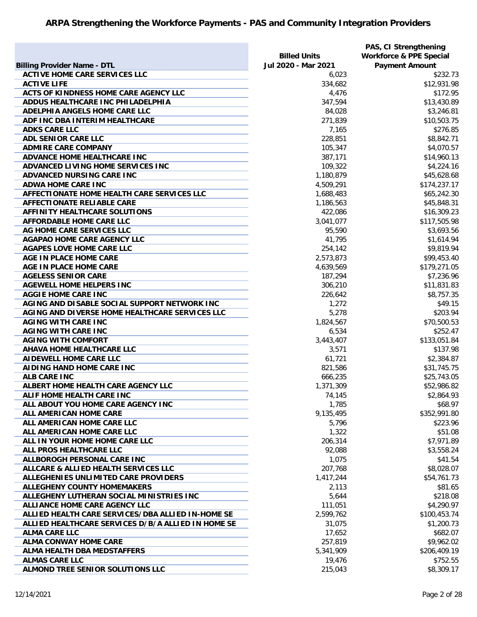|                                                    | <b>Billed Units</b> | PAS, CI Strengthening<br><b>Workforce &amp; PPE Special</b> |
|----------------------------------------------------|---------------------|-------------------------------------------------------------|
| <b>Billing Provider Name - DTL</b>                 | Jul 2020 - Mar 2021 | <b>Payment Amount</b>                                       |
| <b>ACTIVE HOME CARE SERVICES LLC</b>               | 6,023               | \$232.73                                                    |
| <b>ACTIVE LIFE</b>                                 | 334,682             | \$12,931.98                                                 |
| ACTS OF KINDNESS HOME CARE AGENCY LLC              | 4,476               | \$172.95                                                    |
| ADDUS HEALTHCARE INC PHILADELPHIA                  | 347,594             | \$13,430.89                                                 |
| ADELPHIA ANGELS HOME CARE LLC                      | 84,028              | \$3,246.81                                                  |
| ADF INC DBA INTERIM HEALTHCARE                     | 271,839             | \$10,503.75                                                 |
| <b>ADKS CARE LLC</b>                               | 7,165               | \$276.85                                                    |
| ADL SENIOR CARE LLC                                | 228,851             | \$8,842.71                                                  |
| <b>ADMIRE CARE COMPANY</b>                         | 105,347             | \$4,070.57                                                  |
| ADVANCE HOME HEALTHCARE INC                        | 387,171             | \$14,960.13                                                 |
| ADVANCED LIVING HOME SERVICES INC                  | 109,322             | \$4,224.16                                                  |
| ADVANCED NURSING CARE INC                          | 1,180,879           | \$45,628.68                                                 |
| <b>ADWA HOME CARE INC</b>                          | 4,509,291           | \$174,237.17                                                |
| AFFECTIONATE HOME HEALTH CARE SERVICES LLC         | 1,688,483           | \$65,242.30                                                 |
| <b>AFFECTIONATE RELIABLE CARE</b>                  | 1,186,563           | \$45,848.31                                                 |
| AFFINITY HEALTHCARE SOLUTIONS                      | 422,086             | \$16,309.23                                                 |
| AFFORDABLE HOME CARE LLC                           | 3,041,077           | \$117,505.98                                                |
| AG HOME CARE SERVICES LLC                          | 95,590              | \$3,693.56                                                  |
| <b>AGAPAO HOME CARE AGENCY LLC</b>                 | 41,795              | \$1,614.94                                                  |
| <b>AGAPES LOVE HOME CARE LLC</b>                   | 254,142             | \$9,819.94                                                  |
| AGE IN PLACE HOME CARE                             | 2,573,873           | \$99,453.40                                                 |
| AGE IN PLACE HOME CARE                             | 4,639,569           | \$179,271.05                                                |
| <b>AGELESS SENIOR CARE</b>                         | 187,294             | \$7,236.96                                                  |
| <b>AGEWELL HOME HELPERS INC</b>                    | 306,210             | \$11,831.83                                                 |
| <b>AGGIE HOME CARE INC</b>                         | 226,642             | \$8,757.35                                                  |
| AGING AND DISABLE SOCIAL SUPPORT NETWORK INC       | 1,272               | \$49.15                                                     |
| AGING AND DIVERSE HOME HEALTHCARE SERVICES LLC     | 5,278               | \$203.94                                                    |
| <b>AGING WITH CARE INC</b>                         | 1,824,567           | \$70,500.53                                                 |
| <b>AGING WITH CARE INC</b>                         | 6,534               | \$252.47                                                    |
| <b>AGING WITH COMFORT</b>                          | 3,443,407           | \$133,051.84                                                |
| AHAVA HOME HEALTHCARE LLC                          | 3,571               | \$137.98                                                    |
| AIDEWELL HOME CARE LLC                             | 61,721              | \$2,384.87                                                  |
| AIDING HAND HOME CARE INC                          | 821,586             | \$31,745.75                                                 |
| <b>ALB CARE INC</b>                                | 666,235             | \$25,743.05                                                 |
| ALBERT HOME HEALTH CARE AGENCY LLC                 | 1,371,309           | \$52,986.82                                                 |
| <b>ALIF HOME HEALTH CARE INC</b>                   | 74,145              | \$2,864.93                                                  |
| ALL ABOUT YOU HOME CARE AGENCY INC                 | 1,785               | \$68.97                                                     |
| ALL AMERICAN HOME CARE                             | 9,135,495           | \$352,991.80                                                |
| ALL AMERICAN HOME CARE LLC                         | 5,796               | \$223.96                                                    |
| ALL AMERICAN HOME CARE LLC                         | 1,322               | \$51.08                                                     |
| ALL IN YOUR HOME HOME CARE LLC                     | 206,314             | \$7,971.89                                                  |
| ALL PROS HEALTHCARE LLC                            | 92,088              | \$3,558.24                                                  |
| ALLBOROGH PERSONAL CARE INC                        | 1,075               | \$41.54                                                     |
| ALLCARE & ALLIED HEALTH SERVICES LLC               | 207,768             | \$8,028.07                                                  |
| ALLEGHENIES UNLIMITED CARE PROVIDERS               | 1,417,244           | \$54,761.73                                                 |
| <b>ALLEGHENY COUNTY HOMEMAKERS</b>                 | 2,113               | \$81.65                                                     |
| ALLEGHENY LUTHERAN SOCIAL MINISTRIES INC           | 5,644               | \$218.08                                                    |
| ALLIANCE HOME CARE AGENCY LLC                      | 111,051             | \$4,290.97                                                  |
| ALLIED HEALTH CARE SERVICES/DBA ALLIED IN-HOME SE  | 2,599,762           | \$100,453.74                                                |
| ALLIED HEALTHCARE SERVICES D/B/A ALLIED IN HOME SE | 31,075              | \$1,200.73                                                  |
| <b>ALMA CARE LLC</b>                               |                     | \$682.07                                                    |
|                                                    | 17,652              |                                                             |
| <b>ALMA CONWAY HOME CARE</b>                       | 257,819             | \$9,962.02                                                  |
| <b>ALMA HEALTH DBA MEDSTAFFERS</b>                 | 5,341,909           | \$206,409.19                                                |
| <b>ALMAS CARE LLC</b>                              | 19,476              | \$752.55                                                    |
| ALMOND TREE SENIOR SOLUTIONS LLC                   | 215,043             | \$8,309.17                                                  |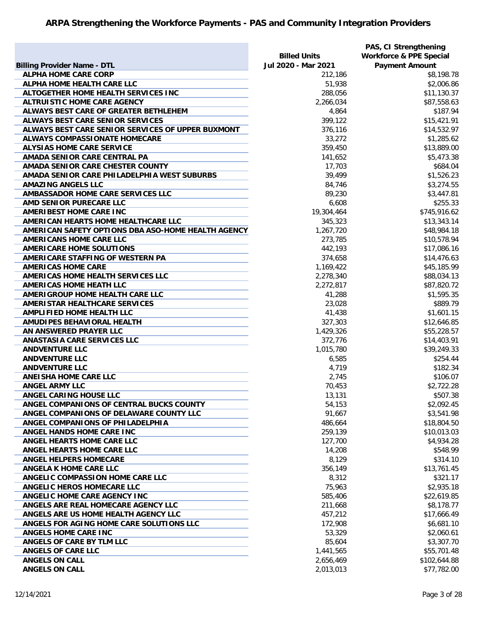|                                                    |                     | PAS, CI Strengthening              |
|----------------------------------------------------|---------------------|------------------------------------|
|                                                    | <b>Billed Units</b> | <b>Workforce &amp; PPE Special</b> |
| <b>Billing Provider Name - DTL</b>                 | Jul 2020 - Mar 2021 | <b>Payment Amount</b>              |
| <b>ALPHA HOME CARE CORP</b>                        | 212,186             | \$8,198.78                         |
| ALPHA HOME HEALTH CARE LLC                         | 51,938              | \$2,006.86                         |
| ALTOGETHER HOME HEALTH SERVICES INC                | 288,056             | \$11,130.37                        |
| <b>ALTRUISTIC HOME CARE AGENCY</b>                 | 2,266,034           | \$87,558.63                        |
| ALWAYS BEST CARE OF GREATER BETHLEHEM              | 4,864               | \$187.94                           |
| ALWAYS BEST CARE SENIOR SERVICES                   | 399,122             | \$15,421.91                        |
| ALWAYS BEST CARE SENIOR SERVICES OF UPPER BUXMONT  | 376,116             | \$14,532.97                        |
| <b>ALWAYS COMPASSIONATE HOMECARE</b>               | 33,272              | \$1,285.62                         |
| <b>ALYSIAS HOME CARE SERVICE</b>                   | 359,450             | \$13,889.00                        |
| AMADA SENIOR CARE CENTRAL PA                       | 141,652             | \$5,473.38                         |
| AMADA SENIOR CARE CHESTER COUNTY                   | 17,703              | \$684.04                           |
| AMADA SENIOR CARE PHILADELPHIA WEST SUBURBS        | 39,499              | \$1,526.23                         |
| <b>AMAZING ANGELS LLC</b>                          |                     | \$3,274.55                         |
|                                                    | 84,746              |                                    |
| AMBASSADOR HOME CARE SERVICES LLC                  | 89,230              | \$3,447.81                         |
| AMD SENIOR PURECARE LLC                            | 6,608               | \$255.33                           |
| <b>AMERIBEST HOME CARE INC</b>                     | 19,304,464          | \$745,916.62                       |
| AMERICAN HEARTS HOME HEALTHCARE LLC                | 345,323             | \$13,343.14                        |
| AMERICAN SAFETY OPTIONS DBA ASO-HOME HEALTH AGENCY | 1,267,720           | \$48,984.18                        |
| <b>AMERICANS HOME CARE LLC</b>                     | 273,785             | \$10,578.94                        |
| <b>AMERICARE HOME SOLUTIONS</b>                    | 442,193             | \$17,086.16                        |
| AMERICARE STAFFING OF WESTERN PA                   | 374,658             | \$14,476.63                        |
| <b>AMERICAS HOME CARE</b>                          | 1,169,422           | \$45,185.99                        |
| AMERICAS HOME HEALTH SERVICES LLC                  | 2,278,340           | \$88,034.13                        |
| <b>AMERICAS HOME HEATH LLC</b>                     | 2,272,817           | \$87,820.72                        |
| AMERIGROUP HOME HEALTH CARE LLC                    | 41,288              | \$1,595.35                         |
| AMERISTAR HEALTHCARE SERVICES                      | 23,028              | \$889.79                           |
| <b>AMPLIFIED HOME HEALTH LLC</b>                   | 41,438              | \$1,601.15                         |
| AMUDIPES BEHAVIORAL HEALTH                         | 327,303             | \$12,646.85                        |
| AN ANSWERED PRAYER LLC                             | 1,429,326           | \$55,228.57                        |
| <b>ANASTASIA CARE SERVICES LLC</b>                 | 372,776             | \$14,403.91                        |
| <b>ANDVENTURE LLC</b>                              | 1,015,780           | \$39,249.33                        |
| <b>ANDVENTURE LLC</b>                              | 6,585               | \$254.44                           |
| <b>ANDVENTURE LLC</b>                              | 4,719               | \$182.34                           |
| <b>ANEISHA HOME CARE LLC</b>                       | 2,745               | \$106.07                           |
| <b>ANGEL ARMY LLC</b>                              | 70,453              | \$2,722.28                         |
| <b>ANGEL CARING HOUSE LLC</b>                      | 13,131              | \$507.38                           |
| ANGEL COMPANIONS OF CENTRAL BUCKS COUNTY           | 54,153              | \$2,092.45                         |
| ANGEL COMPANIONS OF DELAWARE COUNTY LLC            | 91,667              | \$3,541.98                         |
| ANGEL COMPANIONS OF PHILADELPHIA                   | 486,664             | \$18,804.50                        |
| ANGEL HANDS HOME CARE INC                          | 259,139             | \$10,013.03                        |
| ANGEL HEARTS HOME CARE LLC                         | 127,700             | \$4,934.28                         |
| ANGEL HEARTS HOME CARE LLC                         | 14,208              | \$548.99                           |
| <b>ANGEL HELPERS HOMECARE</b>                      | 8,129               | \$314.10                           |
| ANGELA K HOME CARE LLC                             | 356,149             |                                    |
|                                                    |                     | \$13,761.45                        |
| ANGELIC COMPASSION HOME CARE LLC                   | 8,312               | \$321.17                           |
| ANGELIC HEROS HOMECARE LLC                         | 75,963              | \$2,935.18                         |
| ANGELIC HOME CARE AGENCY INC                       | 585,406             | \$22,619.85                        |
| ANGELS ARE REAL HOMECARE AGENCY LLC                | 211,668             | \$8,178.77                         |
| ANGELS ARE US HOME HEALTH AGENCY LLC               | 457,212             | \$17,666.49                        |
| ANGELS FOR AGING HOME CARE SOLUTIONS LLC           | 172,908             | \$6,681.10                         |
| <b>ANGELS HOME CARE INC</b>                        | 53,329              | \$2,060.61                         |
| ANGELS OF CARE BY TLM LLC                          | 85,604              | \$3,307.70                         |
| ANGELS OF CARE LLC                                 | 1,441,565           | \$55,701.48                        |
| <b>ANGELS ON CALL</b>                              | 2,656,469           | \$102,644.88                       |
| <b>ANGELS ON CALL</b>                              | 2,013,013           | \$77,782.00                        |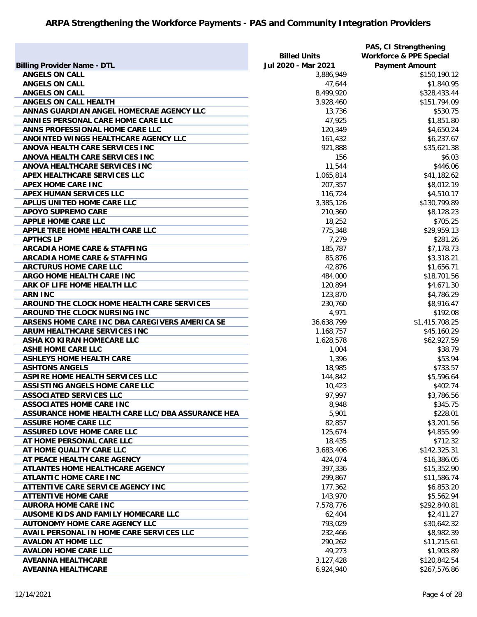|                                                  |                     | PAS, CI Strengthening              |
|--------------------------------------------------|---------------------|------------------------------------|
|                                                  | <b>Billed Units</b> | <b>Workforce &amp; PPE Special</b> |
| <b>Billing Provider Name - DTL</b>               | Jul 2020 - Mar 2021 | <b>Payment Amount</b>              |
| <b>ANGELS ON CALL</b>                            | 3,886,949           | \$150,190.12                       |
| <b>ANGELS ON CALL</b>                            | 47,644              | \$1,840.95                         |
| <b>ANGELS ON CALL</b>                            | 8,499,920           | \$328,433.44                       |
| ANGELS ON CALL HEALTH                            | 3,928,460           | \$151,794.09                       |
| ANNAS GUARDIAN ANGEL HOMECRAE AGENCY LLC         | 13,736              | \$530.75                           |
| ANNIES PERSONAL CARE HOME CARE LLC               | 47,925              | \$1,851.80                         |
| ANNS PROFESSIONAL HOME CARE LLC                  | 120,349             | \$4,650.24                         |
| ANOINTED WINGS HEALTHCARE AGENCY LLC             | 161,432             | \$6,237.67                         |
| ANOVA HEALTH CARE SERVICES INC                   | 921,888             | \$35,621.38                        |
| ANOVA HEALTH CARE SERVICES INC                   | 156                 | \$6.03                             |
| ANOVA HEALTHCARE SERVICES INC                    | 11,544              | \$446.06                           |
| APEX HEALTHCARE SERVICES LLC                     | 1,065,814           | \$41,182.62                        |
| <b>APEX HOME CARE INC</b>                        | 207,357             | \$8,012.19                         |
| APEX HUMAN SERVICES LLC                          | 116,724             | \$4,510.17                         |
| APLUS UNITED HOME CARE LLC                       | 3,385,126           | \$130,799.89                       |
| <b>APOYO SUPREMO CARE</b>                        | 210,360             | \$8,128.23                         |
| <b>APPLE HOME CARE LLC</b>                       | 18,252              | \$705.25                           |
| APPLE TREE HOME HEALTH CARE LLC                  | 775,348             | \$29,959.13                        |
| <b>APTHCS LP</b>                                 | 7,279               | \$281.26                           |
| <b>ARCADIA HOME CARE &amp; STAFFING</b>          | 185,787             | \$7,178.73                         |
| <b>ARCADIA HOME CARE &amp; STAFFING</b>          | 85,876              | \$3,318.21                         |
| <b>ARCTURUS HOME CARE LLC</b>                    |                     |                                    |
|                                                  | 42,876              | \$1,656.71                         |
| ARGO HOME HEALTH CARE INC                        | 484,000             | \$18,701.56                        |
| ARK OF LIFE HOME HEALTH LLC                      | 120,894             | \$4,671.30                         |
| <b>ARN INC</b>                                   | 123,870             | \$4,786.29                         |
| AROUND THE CLOCK HOME HEALTH CARE SERVICES       | 230,760             | \$8,916.47                         |
| AROUND THE CLOCK NURSING INC                     | 4,971               | \$192.08                           |
| ARSENS HOME CARE INC DBA CAREGIVERS AMERICA SE   | 36,638,799          | \$1,415,708.25                     |
| ARUM HEALTHCARE SERVICES INC                     | 1,168,757           | \$45,160.29                        |
| ASHA KO KIRAN HOMECARE LLC                       | 1,628,578           | \$62,927.59                        |
| <b>ASHE HOME CARE LLC</b>                        | 1,004               | \$38.79                            |
| <b>ASHLEYS HOME HEALTH CARE</b>                  | 1,396               | \$53.94                            |
| <b>ASHTONS ANGELS</b>                            | 18,985              | \$733.57                           |
| ASPIRE HOME HEALTH SERVICES LLC                  | 144,842             | \$5,596.64                         |
| <b>ASSISTING ANGELS HOME CARE LLC</b>            | 10,423              | \$402.74                           |
| <b>ASSOCIATED SERVICES LLC</b>                   | 97,997              | \$3,786.56                         |
| <b>ASSOCIATES HOME CARE INC</b>                  | 8,948               | \$345.75                           |
| ASSURANCE HOME HEALTH CARE LLC/DBA ASSURANCE HEA | 5,901               | \$228.01                           |
| <b>ASSURE HOME CARE LLC</b>                      | 82,857              | \$3,201.56                         |
| <b>ASSURED LOVE HOME CARE LLC</b>                | 125,674             | \$4,855.99                         |
| AT HOME PERSONAL CARE LLC                        | 18,435              | \$712.32                           |
| AT HOME QUALITY CARE LLC                         | 3,683,406           | \$142,325.31                       |
| AT PEACE HEALTH CARE AGENCY                      | 424,074             | \$16,386.05                        |
| ATLANTES HOME HEALTHCARE AGENCY                  | 397,336             | \$15,352.90                        |
| <b>ATLANTIC HOME CARE INC</b>                    | 299,867             | \$11,586.74                        |
| ATTENTIVE CARE SERVICE AGENCY INC                | 177,362             | \$6,853.20                         |
| <b>ATTENTIVE HOME CARE</b>                       | 143,970             | \$5,562.94                         |
| <b>AURORA HOME CARE INC</b>                      | 7,578,776           | \$292,840.81                       |
| AUSOME KIDS AND FAMILY HOMECARE LLC              | 62,404              | \$2,411.27                         |
| <b>AUTONOMY HOME CARE AGENCY LLC</b>             | 793,029             | \$30,642.32                        |
| AVAIL PERSONAL IN HOME CARE SERVICES LLC         | 232,466             | \$8,982.39                         |
| <b>AVALON AT HOME LLC</b>                        | 290,262             | \$11,215.61                        |
| <b>AVALON HOME CARE LLC</b>                      | 49,273              | \$1,903.89                         |
| <b>AVEANNA HEALTHCARE</b>                        | 3,127,428           | \$120,842.54                       |
| <b>AVEANNA HEALTHCARE</b>                        | 6,924,940           | \$267,576.86                       |
|                                                  |                     |                                    |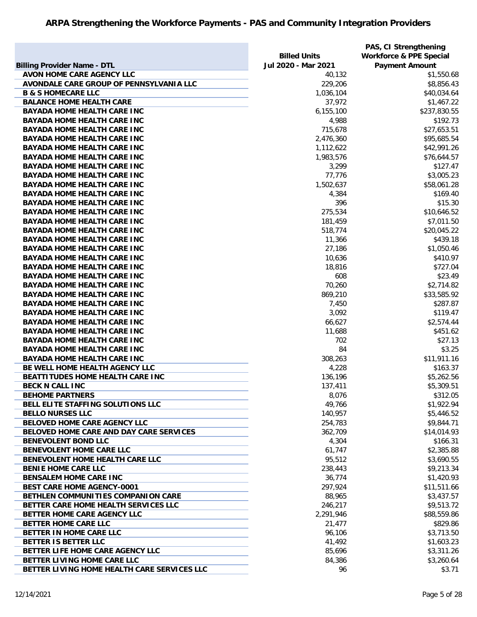|                                                |                     | PAS, CI Strengthening              |
|------------------------------------------------|---------------------|------------------------------------|
|                                                | <b>Billed Units</b> | <b>Workforce &amp; PPE Special</b> |
| <b>Billing Provider Name - DTL</b>             | Jul 2020 - Mar 2021 | <b>Payment Amount</b>              |
| <b>AVON HOME CARE AGENCY LLC</b>               | 40,132              | \$1,550.68                         |
| AVONDALE CARE GROUP OF PENNSYLVANIA LLC        | 229,206             | \$8,856.43                         |
| <b>B &amp; S HOMECARE LLC</b>                  | 1,036,104           | \$40,034.64                        |
| <b>BALANCE HOME HEALTH CARE</b>                | 37,972              | \$1,467.22                         |
| <b>BAYADA HOME HEALTH CARE INC</b>             | 6,155,100           | \$237,830.55                       |
| <b>BAYADA HOME HEALTH CARE INC</b>             | 4,988               | \$192.73                           |
| <b>BAYADA HOME HEALTH CARE INC</b>             | 715,678             | \$27,653.51                        |
| <b>BAYADA HOME HEALTH CARE INC</b>             | 2,476,360           | \$95,685.54                        |
| <b>BAYADA HOME HEALTH CARE INC</b>             | 1,112,622           | \$42,991.26                        |
| <b>BAYADA HOME HEALTH CARE INC</b>             | 1,983,576           | \$76,644.57                        |
| <b>BAYADA HOME HEALTH CARE INC</b>             | 3,299               | \$127.47                           |
| <b>BAYADA HOME HEALTH CARE INC</b>             | 77,776              | \$3,005.23                         |
| <b>BAYADA HOME HEALTH CARE INC</b>             | 1,502,637           | \$58,061.28                        |
| <b>BAYADA HOME HEALTH CARE INC</b>             | 4,384               | \$169.40                           |
| <b>BAYADA HOME HEALTH CARE INC</b>             | 396                 | \$15.30                            |
| <b>BAYADA HOME HEALTH CARE INC</b>             | 275,534             | \$10,646.52                        |
| <b>BAYADA HOME HEALTH CARE INC</b>             | 181,459             | \$7,011.50                         |
| <b>BAYADA HOME HEALTH CARE INC</b>             | 518,774             | \$20,045.22                        |
| <b>BAYADA HOME HEALTH CARE INC</b>             | 11,366              | \$439.18                           |
| <b>BAYADA HOME HEALTH CARE INC</b>             | 27,186              | \$1,050.46                         |
| <b>BAYADA HOME HEALTH CARE INC</b>             | 10,636              | \$410.97                           |
| <b>BAYADA HOME HEALTH CARE INC</b>             | 18,816              | \$727.04                           |
| <b>BAYADA HOME HEALTH CARE INC</b>             | 608                 | \$23.49                            |
| <b>BAYADA HOME HEALTH CARE INC</b>             | 70,260              | \$2,714.82                         |
| <b>BAYADA HOME HEALTH CARE INC</b>             | 869,210             | \$33,585.92                        |
| <b>BAYADA HOME HEALTH CARE INC</b>             | 7,450               | \$287.87                           |
| <b>BAYADA HOME HEALTH CARE INC</b>             | 3,092               | \$119.47                           |
| <b>BAYADA HOME HEALTH CARE INC</b>             | 66,627              | \$2,574.44                         |
| <b>BAYADA HOME HEALTH CARE INC</b>             | 11,688              | \$451.62                           |
| <b>BAYADA HOME HEALTH CARE INC</b>             | 702                 | \$27.13                            |
| <b>BAYADA HOME HEALTH CARE INC</b>             | 84                  | \$3.25                             |
| <b>BAYADA HOME HEALTH CARE INC</b>             | 308,263             | \$11,911.16                        |
| BE WELL HOME HEALTH AGENCY LLC                 | 4,228               | \$163.37                           |
| BEATTITUDES HOME HEALTH CARE INC               | 136,196             | \$5,262.56                         |
| <b>BECK N CALL INC</b>                         | 137,411             | \$5,309.51                         |
| <b>BEHOME PARTNERS</b>                         | 8,076               | \$312.05                           |
| BELL ELITE STAFFING SOLUTIONS LLC              | 49,766              | \$1,922.94                         |
| <b>BELLO NURSES LLC</b>                        | 140,957             | \$5,446.52                         |
| BELOVED HOME CARE AGENCY LLC                   | 254,783             | \$9,844.71                         |
| <b>BELOVED HOME CARE AND DAY CARE SERVICES</b> | 362,709             | \$14,014.93                        |
| <b>BENEVOLENT BOND LLC</b>                     | 4,304               | \$166.31                           |
| BENEVOLENT HOME CARE LLC                       | 61,747              | \$2,385.88                         |
| BENEVOLENT HOME HEALTH CARE LLC                | 95,512              | \$3,690.55                         |
| <b>BENIE HOME CARE LLC</b>                     | 238,443             | \$9,213.34                         |
| <b>BENSALEM HOME CARE INC</b>                  | 36,774              | \$1,420.93                         |
| <b>BEST CARE HOME AGENCY-0001</b>              | 297,924             | \$11,511.66                        |
| BETHLEN COMMUNITIES COMPANION CARE             | 88,965              | \$3,437.57                         |
| BETTER CARE HOME HEALTH SERVICES LLC           | 246,217             | \$9,513.72                         |
| BETTER HOME CARE AGENCY LLC                    | 2,291,946           | \$88,559.86                        |
| BETTER HOME CARE LLC                           | 21,477              | \$829.86                           |
| BETTER IN HOME CARE LLC                        | 96,106              | \$3,713.50                         |
| BETTER IS BETTER LLC                           | 41,492              | \$1,603.23                         |
| BETTER LIFE HOME CARE AGENCY LLC               | 85,696              | \$3,311.26                         |
| BETTER LIVING HOME CARE LLC                    | 84,386              | \$3,260.64                         |
| BETTER LIVING HOME HEALTH CARE SERVICES LLC    | 96                  | \$3.71                             |
|                                                |                     |                                    |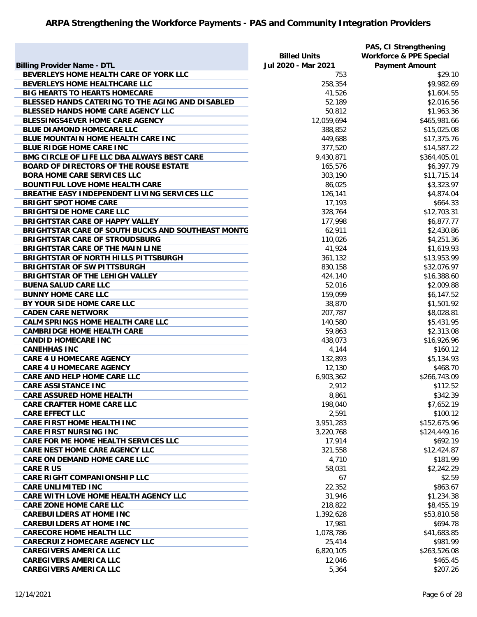|                                                    |                     | PAS, CI Strengthening              |
|----------------------------------------------------|---------------------|------------------------------------|
|                                                    | <b>Billed Units</b> | <b>Workforce &amp; PPE Special</b> |
| <b>Billing Provider Name - DTL</b>                 | Jul 2020 - Mar 2021 | <b>Payment Amount</b>              |
| BEVERLEYS HOME HEALTH CARE OF YORK LLC             | 753                 | \$29.10                            |
| BEVERLEYS HOME HEALTHCARE LLC                      | 258,354             | \$9,982.69                         |
| <b>BIG HEARTS TO HEARTS HOMECARE</b>               | 41,526              | \$1,604.55                         |
| BLESSED HANDS CATERING TO THE AGING AND DISABLED   | 52,189              | \$2,016.56                         |
| BLESSED HANDS HOME CARE AGENCY LLC                 | 50,812              | \$1,963.36                         |
| <b>BLESSINGS4EVER HOME CARE AGENCY</b>             | 12,059,694          | \$465,981.66                       |
| <b>BLUE DIAMOND HOMECARE LLC</b>                   | 388,852             | \$15,025.08                        |
| BLUE MOUNTAIN HOME HEALTH CARE INC                 | 449,688             | \$17,375.76                        |
| <b>BLUE RIDGE HOME CARE INC</b>                    | 377,520             | \$14,587.22                        |
| BMG CIRCLE OF LIFE LLC DBA ALWAYS BEST CARE        | 9,430,871           | \$364,405.01                       |
| <b>BOARD OF DIRECTORS OF THE ROUSE ESTATE</b>      | 165,576             | \$6,397.79                         |
| <b>BORA HOME CARE SERVICES LLC</b>                 | 303,190             | \$11,715.14                        |
| <b>BOUNTIFUL LOVE HOME HEALTH CARE</b>             | 86,025              | \$3,323.97                         |
| BREATHE EASY INDEPENDENT LIVING SERVICES LLC       | 126,141             | \$4,874.04                         |
| <b>BRIGHT SPOT HOME CARE</b>                       | 17,193              | \$664.33                           |
| <b>BRIGHTSIDE HOME CARE LLC</b>                    | 328,764             | \$12,703.31                        |
| <b>BRIGHTSTAR CARE OF HAPPY VALLEY</b>             | 177,998             | \$6,877.77                         |
| BRIGHTSTAR CARE OF SOUTH BUCKS AND SOUTHEAST MONTG | 62,911              | \$2,430.86                         |
| <b>BRIGHTSTAR CARE OF STROUDSBURG</b>              | 110,026             | \$4,251.36                         |
| <b>BRIGHTSTAR CARE OF THE MAIN LINE</b>            | 41,924              | \$1,619.93                         |
| <b>BRIGHTSTAR OF NORTH HILLS PITTSBURGH</b>        | 361,132             | \$13,953.99                        |
| <b>BRIGHTSTAR OF SW PITTSBURGH</b>                 | 830,158             | \$32,076.97                        |
| <b>BRIGHTSTAR OF THE LEHIGH VALLEY</b>             | 424,140             | \$16,388.60                        |
| <b>BUENA SALUD CARE LLC</b>                        | 52,016              | \$2,009.88                         |
| <b>BUNNY HOME CARE LLC</b>                         | 159,099             | \$6,147.52                         |
| BY YOUR SIDE HOME CARE LLC                         | 38,870              | \$1,501.92                         |
| <b>CADEN CARE NETWORK</b>                          | 207,787             | \$8,028.81                         |
| <b>CALM SPRINGS HOME HEALTH CARE LLC</b>           | 140,580             | \$5,431.95                         |
| <b>CAMBRIDGE HOME HEALTH CARE</b>                  | 59,863              | \$2,313.08                         |
| <b>CANDID HOMECARE INC</b>                         | 438,073             | \$16,926.96                        |
| <b>CANEHHAS INC</b>                                | 4,144               | \$160.12                           |
| <b>CARE 4 U HOMECARE AGENCY</b>                    | 132,893             | \$5,134.93                         |
| <b>CARE 4 U HOMECARE AGENCY</b>                    | 12,130              | \$468.70                           |
| <b>CARE AND HELP HOME CARE LLC</b>                 | 6,903,362           | \$266,743.09                       |
| <b>CARE ASSISTANCE INC</b>                         | 2,912               | \$112.52                           |
| <b>CARE ASSURED HOME HEALTH</b>                    | 8,861               | \$342.39                           |
| <b>CARE CRAFTER HOME CARE LLC</b>                  | 198,040             | \$7,652.19                         |
| <b>CARE EFFECT LLC</b>                             | 2,591               | \$100.12                           |
| <b>CARE FIRST HOME HEALTH INC</b>                  | 3,951,283           | \$152,675.96                       |
| <b>CARE FIRST NURSING INC</b>                      | 3,220,768           | \$124,449.16                       |
| CARE FOR ME HOME HEALTH SERVICES LLC               | 17,914              | \$692.19                           |
| <b>CARE NEST HOME CARE AGENCY LLC</b>              | 321,558             | \$12,424.87                        |
| <b>CARE ON DEMAND HOME CARE LLC</b>                | 4,710               | \$181.99                           |
| <b>CARE R US</b>                                   | 58,031              | \$2,242.29                         |
| <b>CARE RIGHT COMPANIONSHIP LLC</b>                | 67                  | \$2.59                             |
| <b>CARE UNLIMITED INC</b>                          | 22,352              | \$863.67                           |
| CARE WITH LOVE HOME HEALTH AGENCY LLC              | 31,946              | \$1,234.38                         |
| <b>CARE ZONE HOME CARE LLC</b>                     | 218,822             | \$8,455.19                         |
| <b>CAREBUILDERS AT HOME INC</b>                    | 1,392,628           | \$53,810.58                        |
| <b>CAREBUILDERS AT HOME INC</b>                    | 17,981              | \$694.78                           |
| <b>CARECORE HOME HEALTH LLC</b>                    | 1,078,786           | \$41,683.85                        |
| <b>CARECRUIZ HOMECARE AGENCY LLC</b>               | 25,414              | \$981.99                           |
| <b>CAREGIVERS AMERICA LLC</b>                      | 6,820,105           | \$263,526.08                       |
| <b>CAREGIVERS AMERICA LLC</b>                      | 12,046              | \$465.45                           |
| <b>CAREGIVERS AMERICA LLC</b>                      | 5,364               | \$207.26                           |
|                                                    |                     |                                    |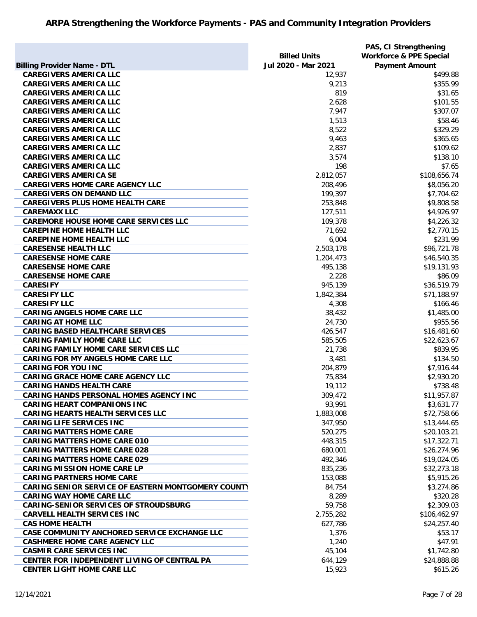|                                                    |                     | PAS, CI Strengthening              |
|----------------------------------------------------|---------------------|------------------------------------|
|                                                    | <b>Billed Units</b> | <b>Workforce &amp; PPE Special</b> |
| <b>Billing Provider Name - DTL</b>                 | Jul 2020 - Mar 2021 | <b>Payment Amount</b>              |
| <b>CAREGIVERS AMERICA LLC</b>                      | 12,937              | \$499.88                           |
| <b>CAREGIVERS AMERICA LLC</b>                      | 9,213               | \$355.99                           |
| <b>CAREGIVERS AMERICA LLC</b>                      | 819                 | \$31.65                            |
| <b>CAREGIVERS AMERICA LLC</b>                      | 2,628               | \$101.55                           |
| <b>CAREGIVERS AMERICA LLC</b>                      | 7,947               | \$307.07                           |
| <b>CAREGIVERS AMERICA LLC</b>                      | 1,513               | \$58.46                            |
| <b>CAREGIVERS AMERICA LLC</b>                      | 8,522               | \$329.29                           |
| <b>CAREGIVERS AMERICA LLC</b>                      | 9,463               | \$365.65                           |
| <b>CAREGIVERS AMERICA LLC</b>                      | 2,837               | \$109.62                           |
| <b>CAREGIVERS AMERICA LLC</b>                      | 3,574               | \$138.10                           |
| <b>CAREGIVERS AMERICA LLC</b>                      | 198                 | \$7.65                             |
| <b>CAREGIVERS AMERICA SE</b>                       | 2,812,057           | \$108,656.74                       |
| <b>CAREGIVERS HOME CARE AGENCY LLC</b>             | 208,496             | \$8,056.20                         |
| <b>CAREGIVERS ON DEMAND LLC</b>                    | 199,397             | \$7,704.62                         |
| <b>CAREGIVERS PLUS HOME HEALTH CARE</b>            | 253,848             | \$9,808.58                         |
| <b>CAREMAXX LLC</b>                                | 127,511             | \$4,926.97                         |
| <b>CAREMORE HOUSE HOME CARE SERVICES LLC</b>       | 109,378             | \$4,226.32                         |
| <b>CAREPINE HOME HEALTH LLC</b>                    | 71,692              | \$2,770.15                         |
| <b>CAREPINE HOME HEALTH LLC</b>                    | 6,004               | \$231.99                           |
| <b>CARESENSE HEALTH LLC</b>                        | 2,503,178           | \$96,721.78                        |
| <b>CARESENSE HOME CARE</b>                         | 1,204,473           | \$46,540.35                        |
| <b>CARESENSE HOME CARE</b>                         | 495,138             | \$19,131.93                        |
| <b>CARESENSE HOME CARE</b>                         | 2,228               | \$86.09                            |
| <b>CARESIFY</b>                                    | 945,139             | \$36,519.79                        |
| <b>CARESIFY LLC</b>                                | 1,842,384           | \$71,188.97                        |
| <b>CARESIFY LLC</b>                                | 4,308               | \$166.46                           |
| <b>CARING ANGELS HOME CARE LLC</b>                 | 38,432              | \$1,485.00                         |
| <b>CARING AT HOME LLC</b>                          | 24,730              | \$955.56                           |
| <b>CARING BASED HEALTHCARE SERVICES</b>            | 426,547             | \$16,481.60                        |
| <b>CARING FAMILY HOME CARE LLC</b>                 | 585,505             | \$22,623.67                        |
| <b>CARING FAMILY HOME CARE SERVICES LLC</b>        | 21,738              | \$839.95                           |
| <b>CARING FOR MY ANGELS HOME CARE LLC</b>          | 3,481               | \$134.50                           |
| <b>CARING FOR YOU INC</b>                          | 204,879             | \$7,916.44                         |
| <b>CARING GRACE HOME CARE AGENCY LLC</b>           | 75,834              | \$2,930.20                         |
| <b>CARING HANDS HEALTH CARE</b>                    | 19,112              | \$738.48                           |
| <b>CARING HANDS PERSONAL HOMES AGENCY INC</b>      | 309,472             | \$11,957.87                        |
| <b>CARING HEART COMPANIONS INC</b>                 | 93,991              | \$3,631.77                         |
| <b>CARING HEARTS HEALTH SERVICES LLC</b>           | 1,883,008           | \$72,758.66                        |
| <b>CARING LIFE SERVICES INC</b>                    | 347,950             | \$13,444.65                        |
| <b>CARING MATTERS HOME CARE</b>                    | 520,275             | \$20,103.21                        |
| <b>CARING MATTERS HOME CARE 010</b>                | 448,315             | \$17,322.71                        |
| <b>CARING MATTERS HOME CARE 028</b>                | 680,001             | \$26,274.96                        |
| <b>CARING MATTERS HOME CARE 029</b>                | 492,346             | \$19,024.05                        |
| <b>CARING MISSION HOME CARE LP</b>                 | 835,236             | \$32,273.18                        |
| <b>CARING PARTNERS HOME CARE</b>                   | 153,088             | \$5,915.26                         |
| CARING SENIOR SERVICE OF EASTERN MONTGOMERY COUNTY | 84,754              | \$3,274.86                         |
| <b>CARING WAY HOME CARE LLC</b>                    | 8,289               | \$320.28                           |
| <b>CARING-SENIOR SERVICES OF STROUDSBURG</b>       | 59,758              | \$2,309.03                         |
| <b>CARVELL HEALTH SERVICES INC</b>                 |                     | \$106,462.97                       |
| <b>CAS HOME HEALTH</b>                             | 2,755,282           | \$24,257.40                        |
| CASE COMMUNITY ANCHORED SERVICE EXCHANGE LLC       | 627,786             | \$53.17                            |
|                                                    | 1,376               |                                    |
| <b>CASHMERE HOME CARE AGENCY LLC</b>               | 1,240               | \$47.91                            |
| <b>CASMIR CARE SERVICES INC</b>                    | 45,104              | \$1,742.80                         |
| CENTER FOR INDEPENDENT LIVING OF CENTRAL PA        | 644,129             | \$24,888.88                        |
| <b>CENTER LIGHT HOME CARE LLC</b>                  | 15,923              | \$615.26                           |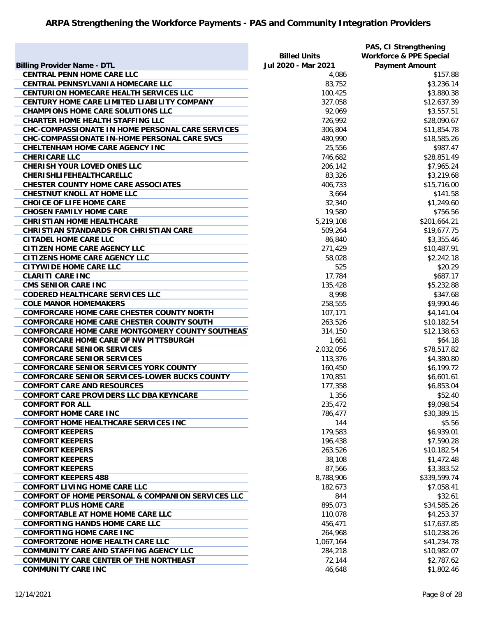| <b>Billing Provider Name - DTL</b>                                                                    | <b>Billed Units</b><br>Jul 2020 - Mar 2021 | PAS, CI Strengthening<br><b>Workforce &amp; PPE Special</b><br><b>Payment Amount</b> |
|-------------------------------------------------------------------------------------------------------|--------------------------------------------|--------------------------------------------------------------------------------------|
| <b>CENTRAL PENN HOME CARE LLC</b>                                                                     | 4,086                                      | \$157.88                                                                             |
| <b>CENTRAL PENNSYLVANIA HOMECARE LLC</b>                                                              | 83,752                                     | \$3,236.14                                                                           |
| <b>CENTURION HOMECARE HEALTH SERVICES LLC</b>                                                         | 100,425                                    | \$3,880.38                                                                           |
| CENTURY HOME CARE LIMITED LIABILITY COMPANY                                                           | 327,058                                    | \$12,637.39                                                                          |
| <b>CHAMPIONS HOME CARE SOLUTIONS LLC</b>                                                              | 92,069                                     | \$3,557.51                                                                           |
| <b>CHARTER HOME HEALTH STAFFING LLC</b>                                                               | 726,992                                    | \$28,090.67                                                                          |
| CHC-COMPASSIONATE IN HOME PERSONAL CARE SERVICES                                                      | 306,804                                    | \$11,854.78                                                                          |
| CHC-COMPASSIONATE IN-HOME PERSONAL CARE SVCS                                                          | 480,990                                    | \$18,585.26                                                                          |
| <b>CHELTENHAM HOME CARE AGENCY INC</b>                                                                | 25,556                                     | \$987.47                                                                             |
| <b>CHERICARE LLC</b>                                                                                  | 746,682                                    | \$28,851.49                                                                          |
| <b>CHERISH YOUR LOVED ONES LLC</b>                                                                    | 206,142                                    | \$7,965.24                                                                           |
| <b>CHERISHLIFEHEALTHCARELLC</b>                                                                       | 83,326                                     | \$3,219.68                                                                           |
| <b>CHESTER COUNTY HOME CARE ASSOCIATES</b>                                                            | 406,733                                    | \$15,716.00                                                                          |
| <b>CHESTNUT KNOLL AT HOME LLC</b>                                                                     | 3,664                                      | \$141.58                                                                             |
| <b>CHOICE OF LIFE HOME CARE</b>                                                                       | 32,340                                     | \$1,249.60                                                                           |
| <b>CHOSEN FAMILY HOME CARE</b>                                                                        | 19,580                                     | \$756.56                                                                             |
| <b>CHRISTIAN HOME HEALTHCARE</b>                                                                      | 5,219,108                                  | \$201,664.21                                                                         |
| <b>CHRISTIAN STANDARDS FOR CHRISTIAN CARE</b>                                                         | 509,264                                    | \$19,677.75                                                                          |
| <b>CITADEL HOME CARE LLC</b>                                                                          | 86,840                                     | \$3,355.46                                                                           |
| <b>CITIZEN HOME CARE AGENCY LLC</b>                                                                   |                                            | \$10,487.91                                                                          |
|                                                                                                       | 271,429                                    |                                                                                      |
| <b>CITIZENS HOME CARE AGENCY LLC</b>                                                                  | 58,028                                     | \$2,242.18                                                                           |
| <b>CITYWIDE HOME CARE LLC</b><br><b>CLARITI CARE INC</b>                                              | 525<br>17,784                              | \$20.29<br>\$687.17                                                                  |
|                                                                                                       |                                            |                                                                                      |
| <b>CMS SENIOR CARE INC</b>                                                                            | 135,428                                    | \$5,232.88                                                                           |
| <b>CODERED HEALTHCARE SERVICES LLC</b>                                                                | 8,998                                      | \$347.68                                                                             |
| <b>COLE MANOR HOMEMAKERS</b>                                                                          | 258,555                                    | \$9,990.46                                                                           |
| <b>COMFORCARE HOME CARE CHESTER COUNTY NORTH</b>                                                      | 107,171                                    | \$4,141.04                                                                           |
| <b>COMFORCARE HOME CARE CHESTER COUNTY SOUTH</b>                                                      | 263,526                                    | \$10,182.54                                                                          |
| <b>COMFORCARE HOME CARE MONTGOMERY COUNTY SOUTHEAS'</b>                                               | 314,150                                    | \$12,138.63                                                                          |
| <b>COMFORCARE HOME CARE OF NW PITTSBURGH</b>                                                          | 1,661                                      | \$64.18                                                                              |
| <b>COMFORCARE SENIOR SERVICES</b>                                                                     | 2,032,056                                  | \$78,517.82                                                                          |
| <b>COMFORCARE SENIOR SERVICES</b>                                                                     | 113,376                                    | \$4,380.80                                                                           |
| <b>COMFORCARE SENIOR SERVICES YORK COUNTY</b><br><b>COMFORCARE SENIOR SERVICES-LOWER BUCKS COUNTY</b> | 160,450                                    | \$6,199.72                                                                           |
|                                                                                                       | 170,851                                    | \$6,601.61                                                                           |
| <b>COMFORT CARE AND RESOURCES</b>                                                                     | 177,358                                    | \$6,853.04<br>\$52.40                                                                |
| COMFORT CARE PROVIDERS LLC DBA KEYNCARE<br><b>COMFORT FOR ALL</b>                                     | 1,356<br>235,472                           | \$9,098.54                                                                           |
|                                                                                                       |                                            |                                                                                      |
| <b>COMFORT HOME CARE INC</b><br><b>COMFORT HOME HEALTHCARE SERVICES INC</b>                           | 786,477<br>144                             | \$30,389.15<br>\$5.56                                                                |
| <b>COMFORT KEEPERS</b>                                                                                | 179,583                                    | \$6,939.01                                                                           |
| <b>COMFORT KEEPERS</b>                                                                                |                                            | \$7,590.28                                                                           |
| <b>COMFORT KEEPERS</b>                                                                                | 196,438                                    | \$10,182.54                                                                          |
| <b>COMFORT KEEPERS</b>                                                                                | 263,526                                    | \$1,472.48                                                                           |
|                                                                                                       | 38,108                                     |                                                                                      |
| <b>COMFORT KEEPERS</b><br><b>COMFORT KEEPERS 488</b>                                                  | 87,566                                     | \$3,383.52                                                                           |
|                                                                                                       | 8,788,906                                  | \$339,599.74                                                                         |
| <b>COMFORT LIVING HOME CARE LLC</b>                                                                   | 182,673                                    | \$7,058.41                                                                           |
| <b>COMFORT OF HOME PERSONAL &amp; COMPANION SERVICES LLC</b>                                          | 844                                        | \$32.61                                                                              |
| <b>COMFORT PLUS HOME CARE</b>                                                                         | 895,073                                    | \$34,585.26                                                                          |
| <b>COMFORTABLE AT HOME HOME CARE LLC</b>                                                              | 110,078                                    | \$4,253.37                                                                           |
| <b>COMFORTING HANDS HOME CARE LLC</b>                                                                 | 456,471                                    | \$17,637.85                                                                          |
| <b>COMFORTING HOME CARE INC</b>                                                                       | 264,968                                    | \$10,238.26                                                                          |
| <b>COMFORTZONE HOME HEALTH CARE LLC</b>                                                               | 1,067,164                                  | \$41,234.78                                                                          |
| <b>COMMUNITY CARE AND STAFFING AGENCY LLC</b>                                                         | 284,218                                    | \$10,982.07                                                                          |
| <b>COMMUNITY CARE CENTER OF THE NORTHEAST</b>                                                         | 72,144                                     | \$2,787.62                                                                           |
| <b>COMMUNITY CARE INC</b>                                                                             | 46,648                                     | \$1,802.46                                                                           |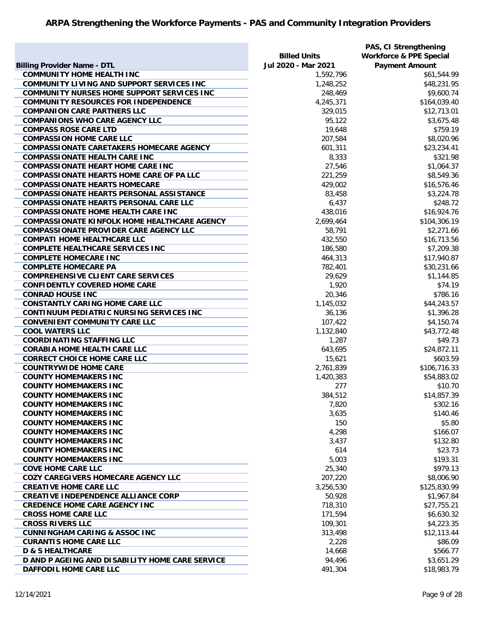|                                                     |                     | PAS, CI Strengthening              |
|-----------------------------------------------------|---------------------|------------------------------------|
|                                                     | <b>Billed Units</b> | <b>Workforce &amp; PPE Special</b> |
| <b>Billing Provider Name - DTL</b>                  | Jul 2020 - Mar 2021 | <b>Payment Amount</b>              |
| <b>COMMUNITY HOME HEALTH INC</b>                    | 1,592,796           | \$61,544.99                        |
| COMMUNITY LIVING AND SUPPORT SERVICES INC           | 1,248,252           | \$48,231.95                        |
| <b>COMMUNITY NURSES HOME SUPPORT SERVICES INC</b>   | 248,469             | \$9,600.74                         |
| <b>COMMUNITY RESOURCES FOR INDEPENDENCE</b>         | 4,245,371           | \$164,039.40                       |
| <b>COMPANION CARE PARTNERS LLC</b>                  | 329,015             | \$12,713.01                        |
| <b>COMPANIONS WHO CARE AGENCY LLC</b>               | 95,122              | \$3,675.48                         |
| <b>COMPASS ROSE CARE LTD</b>                        | 19,648              | \$759.19                           |
| <b>COMPASSION HOME CARE LLC</b>                     | 207,584             | \$8,020.96                         |
| <b>COMPASSIONATE CARETAKERS HOMECARE AGENCY</b>     | 601,311             | \$23,234.41                        |
| <b>COMPASSIONATE HEALTH CARE INC</b>                | 8,333               | \$321.98                           |
| <b>COMPASSIONATE HEART HOME CARE INC</b>            | 27,546              | \$1,064.37                         |
| <b>COMPASSIONATE HEARTS HOME CARE OF PA LLC</b>     | 221,259             | \$8,549.36                         |
| <b>COMPASSIONATE HEARTS HOMECARE</b>                | 429,002             | \$16,576.46                        |
| <b>COMPASSIONATE HEARTS PERSONAL ASSISTANCE</b>     | 83,458              | \$3,224.78                         |
| <b>COMPASSIONATE HEARTS PERSONAL CARE LLC</b>       | 6,437               | \$248.72                           |
|                                                     |                     |                                    |
| <b>COMPASSIONATE HOME HEALTH CARE INC</b>           | 438,016             | \$16,924.76                        |
| <b>COMPASSIONATE KINFOLK HOME HEALTHCARE AGENCY</b> | 2,699,464           | \$104,306.19                       |
| <b>COMPASSIONATE PROVIDER CARE AGENCY LLC</b>       | 58,791              | \$2,271.66                         |
| <b>COMPATI HOME HEALTHCARE LLC</b>                  | 432,550             | \$16,713.56                        |
| <b>COMPLETE HEALTHCARE SERVICES INC</b>             | 186,580             | \$7,209.38                         |
| <b>COMPLETE HOMECARE INC</b>                        | 464,313             | \$17,940.87                        |
| <b>COMPLETE HOMECARE PA</b>                         | 782,401             | \$30,231.66                        |
| <b>COMPREHENSIVE CLIENT CARE SERVICES</b>           | 29,629              | \$1,144.85                         |
| <b>CONFIDENTLY COVERED HOME CARE</b>                | 1,920               | \$74.19                            |
| <b>CONRAD HOUSE INC</b>                             | 20,346              | \$786.16                           |
| <b>CONSTANTLY CARING HOME CARE LLC</b>              | 1,145,032           | \$44,243.57                        |
| CONTINUUM PEDIATRIC NURSING SERVICES INC            | 36,136              | \$1,396.28                         |
| <b>CONVENIENT COMMUNITY CARE LLC</b>                | 107,422             | \$4,150.74                         |
| <b>COOL WATERS LLC</b>                              | 1,132,840           | \$43,772.48                        |
| <b>COORDINATING STAFFING LLC</b>                    | 1,287               | \$49.73                            |
| <b>CORABIA HOME HEALTH CARE LLC</b>                 | 643,695             | \$24,872.11                        |
| <b>CORRECT CHOICE HOME CARE LLC</b>                 | 15,621              | \$603.59                           |
| <b>COUNTRYWIDE HOME CARE</b>                        | 2,761,839           | \$106,716.33                       |
| <b>COUNTY HOMEMAKERS INC</b>                        | 1,420,383           | \$54,883.02                        |
| <b>COUNTY HOMEMAKERS INC</b>                        | 277                 | \$10.70                            |
| <b>COUNTY HOMEMAKERS INC</b>                        | 384,512             | \$14,857.39                        |
| <b>COUNTY HOMEMAKERS INC</b>                        | 7,820               | \$302.16                           |
| <b>COUNTY HOMEMAKERS INC</b>                        | 3,635               | \$140.46                           |
| <b>COUNTY HOMEMAKERS INC</b>                        | 150                 | \$5.80                             |
| <b>COUNTY HOMEMAKERS INC</b>                        | 4,298               | \$166.07                           |
| <b>COUNTY HOMEMAKERS INC</b>                        | 3,437               | \$132.80                           |
| <b>COUNTY HOMEMAKERS INC</b>                        | 614                 | \$23.73                            |
| <b>COUNTY HOMEMAKERS INC</b>                        | 5,003               | \$193.31                           |
| <b>COVE HOME CARE LLC</b>                           | 25,340              | \$979.13                           |
| <b>COZY CAREGIVERS HOMECARE AGENCY LLC</b>          | 207,220             | \$8,006.90                         |
|                                                     |                     |                                    |
| <b>CREATIVE HOME CARE LLC</b>                       | 3,256,530           | \$125,830.99                       |
| <b>CREATIVE INDEPENDENCE ALLIANCE CORP</b>          | 50,928              | \$1,967.84                         |
| <b>CREDENCE HOME CARE AGENCY INC</b>                | 718,310             | \$27,755.21                        |
| <b>CROSS HOME CARE LLC</b>                          | 171,594             | \$6,630.32                         |
| <b>CROSS RIVERS LLC</b>                             | 109,301             | \$4,223.35                         |
| <b>CUNNINGHAM CARING &amp; ASSOC INC</b>            | 313,498             | \$12,113.44                        |
| <b>CURANTIS HOME CARE LLC</b>                       | 2,228               | \$86.09                            |
| <b>D &amp; S HEALTHCARE</b>                         | 14,668              | \$566.77                           |
| D AND P AGEING AND DISABILITY HOME CARE SERVICE     | 94,496              | \$3,651.29                         |
| DAFFODIL HOME CARE LLC                              | 491,304             | \$18,983.79                        |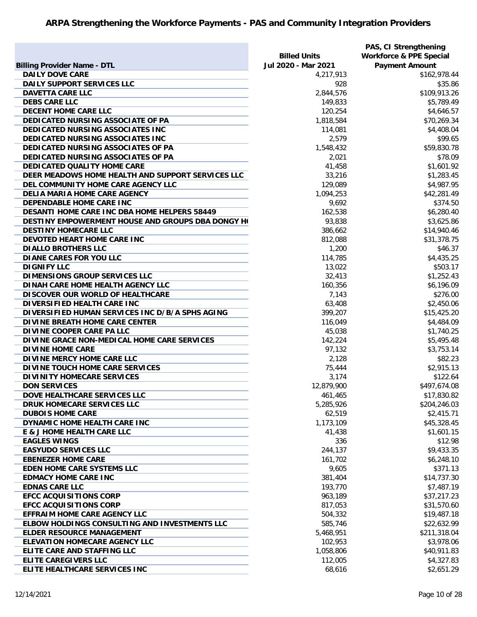|                                                     |                     | PAS, CI Strengthening              |
|-----------------------------------------------------|---------------------|------------------------------------|
|                                                     | <b>Billed Units</b> | <b>Workforce &amp; PPE Special</b> |
| <b>Billing Provider Name - DTL</b>                  | Jul 2020 - Mar 2021 | <b>Payment Amount</b>              |
| <b>DAILY DOVE CARE</b>                              | 4,217,913           | \$162,978.44                       |
| DAILY SUPPORT SERVICES LLC                          | 928                 | \$35.86                            |
| <b>DAVETTA CARE LLC</b>                             | 2,844,576           | \$109,913.26                       |
| <b>DEBS CARE LLC</b>                                | 149,833             | \$5,789.49                         |
| <b>DECENT HOME CARE LLC</b>                         | 120,254             | \$4,646.57                         |
| DEDICATED NURSING ASSOCIATE OF PA                   | 1,818,584           | \$70,269.34                        |
| DEDICATED NURSING ASSOCIATES INC                    | 114,081             | \$4,408.04                         |
| DEDICATED NURSING ASSOCIATES INC                    | 2,579               | \$99.65                            |
| DEDICATED NURSING ASSOCIATES OF PA                  | 1,548,432           | \$59,830.78                        |
| <b>DEDICATED NURSING ASSOCIATES OF PA</b>           | 2,021               | \$78.09                            |
| <b>DEDICATED QUALITY HOME CARE</b>                  | 41,458              | \$1,601.92                         |
| DEER MEADOWS HOME HEALTH AND SUPPORT SERVICES LLC   | 33,216              | \$1,283.45                         |
| DEL COMMUNITY HOME CARE AGENCY LLC                  | 129,089             | \$4,987.95                         |
| DELIA MARIA HOME CARE AGENCY                        | 1,094,253           | \$42,281.49                        |
| DEPENDABLE HOME CARE INC                            | 9,692               | \$374.50                           |
| <b>DESANTI HOME CARE INC DBA HOME HELPERS 58449</b> | 162,538             | \$6,280.40                         |
| DESTINY EMPOWERMENT HOUSE AND GROUPS DBA DONGY HO   | 93,838              | \$3,625.86                         |
| <b>DESTINY HOMECARE LLC</b>                         | 386,662             | \$14,940.46                        |
| DEVOTED HEART HOME CARE INC                         | 812,088             | \$31,378.75                        |
| <b>DIALLO BROTHERS LLC</b>                          | 1,200               | \$46.37                            |
| <b>DIANE CARES FOR YOU LLC</b>                      | 114,785             | \$4,435.25                         |
| <b>DIGNIFY LLC</b>                                  | 13,022              | \$503.17                           |
| DIMENSIONS GROUP SERVICES LLC                       | 32,413              | \$1,252.43                         |
| DINAH CARE HOME HEALTH AGENCY LLC                   | 160,356             | \$6,196.09                         |
| DISCOVER OUR WORLD OF HEALTHCARE                    | 7,143               | \$276.00                           |
| DIVERSIFIED HEALTH CARE INC                         | 63,408              | \$2,450.06                         |
| DIVERSIFIED HUMAN SERVICES INC D/B/A SPHS AGING     | 399,207             | \$15,425.20                        |
| DIVINE BREATH HOME CARE CENTER                      | 116,049             | \$4,484.09                         |
| DIVINE COOPER CARE PA LLC                           | 45,038              | \$1,740.25                         |
| DIVINE GRACE NON-MEDICAL HOME CARE SERVICES         | 142,224             | \$5,495.48                         |
| <b>DIVINE HOME CARE</b>                             | 97,132              | \$3,753.14                         |
| DIVINE MERCY HOME CARE LLC                          | 2,128               | \$82.23                            |
| DIVINE TOUCH HOME CARE SERVICES                     | 75,444              | \$2,915.13                         |
| DIVINITY HOMECARE SERVICES                          | 3,174               | \$122.64                           |
| <b>DON SERVICES</b>                                 | 12,879,900          | \$497,674.08                       |
| DOVE HEALTHCARE SERVICES LLC                        | 461,465             | \$17,830.82                        |
| DRUK HOMECARE SERVICES LLC                          | 5,285,926           | \$204,246.03                       |
| <b>DUBOIS HOME CARE</b>                             | 62,519              | \$2,415.71                         |
| DYNAMIC HOME HEALTH CARE INC                        | 1,173,109           | \$45,328.45                        |
| E & J HOME HEALTH CARE LLC                          | 41,438              | \$1,601.15                         |
| <b>EAGLES WINGS</b>                                 | 336                 | \$12.98                            |
| <b>EASYUDO SERVICES LLC</b>                         | 244,137             | \$9,433.35                         |
| <b>EBENEZER HOME CARE</b>                           | 161,702             | \$6,248.10                         |
| <b>EDEN HOME CARE SYSTEMS LLC</b>                   | 9,605               | \$371.13                           |
| <b>EDMACY HOME CARE INC</b>                         | 381,404             | \$14,737.30                        |
| <b>EDNAS CARE LLC</b>                               | 193,770             | \$7,487.19                         |
| <b>EFCC ACQUISITIONS CORP</b>                       | 963,189             | \$37,217.23                        |
| <b>EFCC ACQUISITIONS CORP</b>                       | 817,053             | \$31,570.60                        |
| <b>EFFRAIM HOME CARE AGENCY LLC</b>                 | 504,332             | \$19,487.18                        |
| ELBOW HOLDINGS CONSULTING AND INVESTMENTS LLC       | 585,746             | \$22,632.99                        |
| <b>ELDER RESOURCE MANAGEMENT</b>                    | 5,468,951           | \$211,318.04                       |
| <b>ELEVATION HOMECARE AGENCY LLC</b>                | 102,953             | \$3,978.06                         |
| ELITE CARE AND STAFFING LLC                         | 1,058,806           | \$40,911.83                        |
| <b>ELITE CAREGIVERS LLC</b>                         | 112,005             | \$4,327.83                         |
| ELITE HEALTHCARE SERVICES INC                       |                     |                                    |
|                                                     | 68,616              | \$2,651.29                         |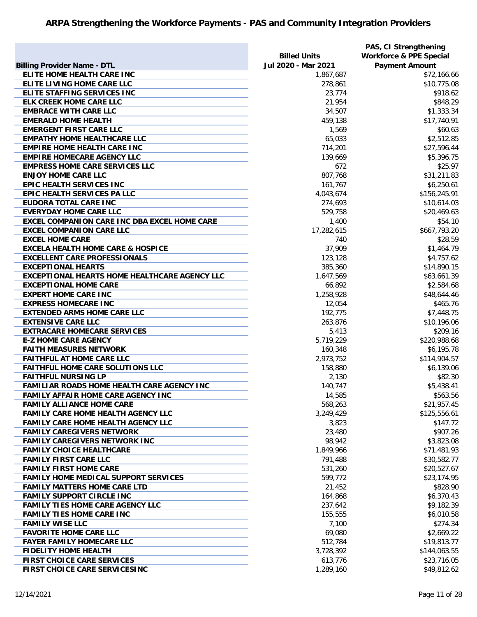|                                                      |                     | PAS, CI Strengthening              |
|------------------------------------------------------|---------------------|------------------------------------|
|                                                      | <b>Billed Units</b> | <b>Workforce &amp; PPE Special</b> |
| <b>Billing Provider Name - DTL</b>                   | Jul 2020 - Mar 2021 | <b>Payment Amount</b>              |
| ELITE HOME HEALTH CARE INC                           | 1,867,687           | \$72,166.66                        |
| ELITE LIVING HOME CARE LLC                           | 278,861             | \$10,775.08                        |
| ELITE STAFFING SERVICES INC                          | 23,774              | \$918.62                           |
| <b>ELK CREEK HOME CARE LLC</b>                       | 21,954              | \$848.29                           |
| <b>EMBRACE WITH CARE LLC</b>                         | 34,507              | \$1,333.34                         |
| <b>EMERALD HOME HEALTH</b>                           | 459,138             | \$17,740.91                        |
| <b>EMERGENT FIRST CARE LLC</b>                       | 1,569               | \$60.63                            |
| <b>EMPATHY HOME HEALTHCARE LLC</b>                   | 65,033              | \$2,512.85                         |
| <b>EMPIRE HOME HEALTH CARE INC</b>                   | 714,201             | \$27,596.44                        |
| <b>EMPIRE HOMECARE AGENCY LLC</b>                    | 139,669             | \$5,396.75                         |
| <b>EMPRESS HOME CARE SERVICES LLC</b>                | 672                 | \$25.97                            |
| <b>ENJOY HOME CARE LLC</b>                           | 807,768             | \$31,211.83                        |
| EPIC HEALTH SERVICES INC                             | 161,767             | \$6,250.61                         |
| EPIC HEALTH SERVICES PA LLC                          | 4,043,674           | \$156,245.91                       |
| <b>EUDORA TOTAL CARE INC</b>                         | 274,693             | \$10,614.03                        |
| <b>EVERYDAY HOME CARE LLC</b>                        | 529,758             | \$20,469.63                        |
| EXCEL COMPANION CARE INC DBA EXCEL HOME CARE         | 1,400               | \$54.10                            |
| <b>EXCEL COMPANION CARE LLC</b>                      | 17,282,615          | \$667,793.20                       |
| <b>EXCEL HOME CARE</b>                               | 740                 | \$28.59                            |
| <b>EXCELA HEALTH HOME CARE &amp; HOSPICE</b>         | 37,909              | \$1,464.79                         |
| <b>EXCELLENT CARE PROFESSIONALS</b>                  | 123,128             | \$4,757.62                         |
| <b>EXCEPTIONAL HEARTS</b>                            | 385,360             | \$14,890.15                        |
| <b>EXCEPTIONAL HEARTS HOME HEALTHCARE AGENCY LLC</b> | 1,647,569           | \$63,661.39                        |
| <b>EXCEPTIONAL HOME CARE</b>                         | 66,892              | \$2,584.68                         |
| <b>EXPERT HOME CARE INC</b>                          | 1,258,928           | \$48,644.46                        |
| <b>EXPRESS HOMECARE INC</b>                          | 12,054              | \$465.76                           |
| <b>EXTENDED ARMS HOME CARE LLC</b>                   | 192,775             | \$7,448.75                         |
| <b>EXTENSIVE CARE LLC</b>                            | 263,876             | \$10,196.06                        |
| <b>EXTRACARE HOMECARE SERVICES</b>                   | 5,413               | \$209.16                           |
| <b>E-Z HOME CARE AGENCY</b>                          | 5,719,229           | \$220,988.68                       |
| <b>FAITH MEASURES NETWORK</b>                        | 160,348             | \$6,195.78                         |
| <b>FAITHFUL AT HOME CARE LLC</b>                     | 2,973,752           | \$114,904.57                       |
| <b>FAITHFUL HOME CARE SOLUTIONS LLC</b>              | 158,880             | \$6,139.06                         |
| <b>FAITHFUL NURSING LP</b>                           | 2,130               | \$82.30                            |
| <b>FAMILIAR ROADS HOME HEALTH CARE AGENCY INC</b>    | 140,747             | \$5,438.41                         |
| <b>FAMILY AFFAIR HOME CARE AGENCY INC</b>            | 14,585              | \$563.56                           |
| <b>FAMILY ALLIANCE HOME CARE</b>                     | 568,263             | \$21,957.45                        |
| <b>FAMILY CARE HOME HEALTH AGENCY LLC</b>            | 3,249,429           | \$125,556.61                       |
| <b>FAMILY CARE HOME HEALTH AGENCY LLC</b>            | 3,823               | \$147.72                           |
| <b>FAMILY CAREGIVERS NETWORK</b>                     | 23,480              | \$907.26                           |
| <b>FAMILY CAREGIVERS NETWORK INC</b>                 | 98,942              | \$3,823.08                         |
| <b>FAMILY CHOICE HEALTHCARE</b>                      | 1,849,966           | \$71,481.93                        |
| <b>FAMILY FIRST CARE LLC</b>                         | 791,488             | \$30,582.77                        |
| <b>FAMILY FIRST HOME CARE</b>                        | 531,260             | \$20,527.67                        |
| <b>FAMILY HOME MEDICAL SUPPORT SERVICES</b>          | 599,772             | \$23,174.95                        |
| <b>FAMILY MATTERS HOME CARE LTD</b>                  |                     | \$828.90                           |
| <b>FAMILY SUPPORT CIRCLE INC</b>                     | 21,452<br>164,868   | \$6,370.43                         |
| <b>FAMILY TIES HOME CARE AGENCY LLC</b>              | 237,642             | \$9,182.39                         |
|                                                      |                     |                                    |
| <b>FAMILY TIES HOME CARE INC</b>                     | 155,555             | \$6,010.58                         |
| <b>FAMILY WISE LLC</b>                               | 7,100               | \$274.34                           |
| <b>FAVORITE HOME CARE LLC</b>                        | 69,080              | \$2,669.22                         |
| <b>FAYER FAMILY HOMECARE LLC</b>                     | 512,784             | \$19,813.77                        |
| <b>FIDELITY HOME HEALTH</b>                          | 3,728,392           | \$144,063.55                       |
| FIRST CHOICE CARE SERVICES                           | 613,776             | \$23,716.05                        |
| FIRST CHOICE CARE SERVICESINC                        | 1,289,160           | \$49,812.62                        |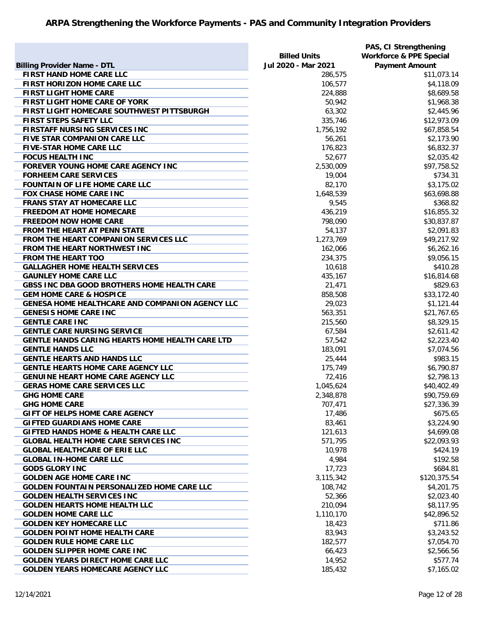|                                                   |                     | PAS, CI Strengthening              |
|---------------------------------------------------|---------------------|------------------------------------|
|                                                   | <b>Billed Units</b> | <b>Workforce &amp; PPE Special</b> |
| <b>Billing Provider Name - DTL</b>                | Jul 2020 - Mar 2021 | <b>Payment Amount</b>              |
| FIRST HAND HOME CARE LLC                          | 286,575             | \$11,073.14                        |
| FIRST HORIZON HOME CARE LLC                       | 106,577             | \$4,118.09                         |
| <b>FIRST LIGHT HOME CARE</b>                      | 224,888             | \$8,689.58                         |
| FIRST LIGHT HOME CARE OF YORK                     | 50,942              | \$1,968.38                         |
| FIRST LIGHT HOMECARE SOUTHWEST PITTSBURGH         | 63,302              | \$2,445.96                         |
| FIRST STEPS SAFETY LLC                            | 335,746             | \$12,973.09                        |
| <b>FIRSTAFF NURSING SERVICES INC</b>              | 1,756,192           | \$67,858.54                        |
| FIVE STAR COMPANION CARE LLC                      | 56,261              | \$2,173.90                         |
| <b>FIVE-STAR HOME CARE LLC</b>                    | 176,823             | \$6,832.37                         |
| <b>FOCUS HEALTH INC</b>                           | 52,677              | \$2,035.42                         |
| FOREVER YOUNG HOME CARE AGENCY INC                | 2,530,009           | \$97,758.52                        |
| <b>FORHEEM CARE SERVICES</b>                      | 19,004              | \$734.31                           |
| <b>FOUNTAIN OF LIFE HOME CARE LLC</b>             | 82,170              | \$3,175.02                         |
| <b>FOX CHASE HOME CARE INC</b>                    | 1,648,539           |                                    |
| <b>FRANS STAY AT HOMECARE LLC</b>                 |                     | \$63,698.88                        |
|                                                   | 9,545               | \$368.82                           |
| <b>FREEDOM AT HOME HOMECARE</b>                   | 436,219             | \$16,855.32                        |
| <b>FREEDOM NOW HOME CARE</b>                      | 798,090             | \$30,837.87                        |
| FROM THE HEART AT PENN STATE                      | 54,137              | \$2,091.83                         |
| FROM THE HEART COMPANION SERVICES LLC             | 1,273,769           | \$49,217.92                        |
| FROM THE HEART NORTHWEST INC                      | 162,066             | \$6,262.16                         |
| <b>FROM THE HEART TOO</b>                         | 234,375             | \$9,056.15                         |
| <b>GALLAGHER HOME HEALTH SERVICES</b>             | 10,618              | \$410.28                           |
| <b>GAUNLEY HOME CARE LLC</b>                      | 435,167             | \$16,814.68                        |
| GBSS INC DBA GOOD BROTHERS HOME HEALTH CARE       | 21,471              | \$829.63                           |
| <b>GEM HOME CARE &amp; HOSPICE</b>                | 858,508             | \$33,172.40                        |
| GENESA HOME HEALTHCARE AND COMPANION AGENCY LLC   | 29,023              | \$1,121.44                         |
| <b>GENESIS HOME CARE INC</b>                      | 563,351             | \$21,767.65                        |
| <b>GENTLE CARE INC</b>                            | 215,560             | \$8,329.15                         |
| <b>GENTLE CARE NURSING SERVICE</b>                | 67,584              | \$2,611.42                         |
| GENTLE HANDS CARING HEARTS HOME HEALTH CARE LTD   | 57,542              | \$2,223.40                         |
| <b>GENTLE HANDS LLC</b>                           | 183,091             | \$7,074.56                         |
| <b>GENTLE HEARTS AND HANDS LLC</b>                | 25,444              | \$983.15                           |
| <b>GENTLE HEARTS HOME CARE AGENCY LLC</b>         | 175,749             | \$6,790.87                         |
| <b>GENUINE HEART HOME CARE AGENCY LLC</b>         | 72,416              | \$2,798.13                         |
| <b>GERAS HOME CARE SERVICES LLC</b>               | 1,045,624           | \$40,402.49                        |
| <b>GHG HOME CARE</b>                              | 2,348,878           | \$90,759.69                        |
| <b>GHG HOME CARE</b>                              | 707,471             | \$27,336.39                        |
| GIFT OF HELPS HOME CARE AGENCY                    | 17,486              | \$675.65                           |
| <b>GIFTED GUARDIANS HOME CARE</b>                 | 83,461              | \$3,224.90                         |
| <b>GIFTED HANDS HOME &amp; HEALTH CARE LLC</b>    | 121,613             | \$4,699.08                         |
| <b>GLOBAL HEALTH HOME CARE SERVICES INC</b>       | 571,795             | \$22,093.93                        |
| <b>GLOBAL HEALTHCARE OF ERIE LLC</b>              | 10,978              | \$424.19                           |
| <b>GLOBAL IN-HOME CARE LLC</b>                    | 4,984               | \$192.58                           |
| <b>GODS GLORY INC</b>                             | 17,723              | \$684.81                           |
| <b>GOLDEN AGE HOME CARE INC</b>                   | 3,115,342           | \$120,375.54                       |
| <b>GOLDEN FOUNTAIN PERSONALIZED HOME CARE LLC</b> | 108,742             | \$4,201.75                         |
| <b>GOLDEN HEALTH SERVICES INC</b>                 | 52,366              | \$2,023.40                         |
| <b>GOLDEN HEARTS HOME HEALTH LLC</b>              | 210,094             | \$8,117.95                         |
| <b>GOLDEN HOME CARE LLC</b>                       | 1,110,170           | \$42,896.52                        |
| <b>GOLDEN KEY HOMECARE LLC</b>                    | 18,423              | \$711.86                           |
| <b>GOLDEN POINT HOME HEALTH CARE</b>              | 83,943              | \$3,243.52                         |
| <b>GOLDEN RULE HOME CARE LLC</b>                  | 182,577             | \$7,054.70                         |
| <b>GOLDEN SLIPPER HOME CARE INC</b>               |                     |                                    |
|                                                   | 66,423              | \$2,566.56                         |
| <b>GOLDEN YEARS DIRECT HOME CARE LLC</b>          | 14,952              | \$577.74                           |
| <b>GOLDEN YEARS HOMECARE AGENCY LLC</b>           | 185,432             | \$7,165.02                         |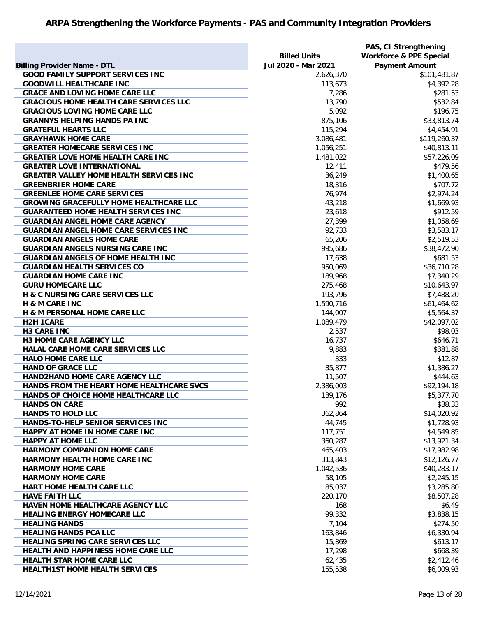|                                                |                     | PAS, CI Strengthening              |
|------------------------------------------------|---------------------|------------------------------------|
|                                                | <b>Billed Units</b> | <b>Workforce &amp; PPE Special</b> |
| <b>Billing Provider Name - DTL</b>             | Jul 2020 - Mar 2021 | <b>Payment Amount</b>              |
| <b>GOOD FAMILY SUPPORT SERVICES INC</b>        | 2,626,370           | \$101,481.87                       |
| <b>GOODWILL HEALTHCARE INC</b>                 | 113,673             | \$4,392.28                         |
| <b>GRACE AND LOVING HOME CARE LLC</b>          | 7,286               | \$281.53                           |
| <b>GRACIOUS HOME HEALTH CARE SERVICES LLC</b>  | 13,790              | \$532.84                           |
| <b>GRACIOUS LOVING HOME CARE LLC</b>           | 5,092               | \$196.75                           |
| <b>GRANNYS HELPING HANDS PA INC</b>            | 875,106             | \$33,813.74                        |
| <b>GRATEFUL HEARTS LLC</b>                     | 115,294             | \$4,454.91                         |
| <b>GRAYHAWK HOME CARE</b>                      | 3,086,481           | \$119,260.37                       |
| <b>GREATER HOMECARE SERVICES INC</b>           | 1,056,251           | \$40,813.11                        |
| <b>GREATER LOVE HOME HEALTH CARE INC</b>       | 1,481,022           | \$57,226.09                        |
| <b>GREATER LOVE INTERNATIONAL</b>              | 12,411              | \$479.56                           |
| <b>GREATER VALLEY HOME HEALTH SERVICES INC</b> | 36,249              | \$1,400.65                         |
| <b>GREENBRIER HOME CARE</b>                    | 18,316              | \$707.72                           |
| <b>GREENLEE HOME CARE SERVICES</b>             | 76,974              | \$2,974.24                         |
| <b>GROWING GRACEFULLY HOME HEALTHCARE LLC</b>  | 43,218              | \$1,669.93                         |
| <b>GUARANTEED HOME HEALTH SERVICES INC</b>     | 23,618              | \$912.59                           |
| <b>GUARDIAN ANGEL HOME CARE AGENCY</b>         | 27,399              | \$1,058.69                         |
| <b>GUARDIAN ANGEL HOME CARE SERVICES INC</b>   | 92,733              | \$3,583.17                         |
| <b>GUARDIAN ANGELS HOME CARE</b>               | 65,206              | \$2,519.53                         |
|                                                |                     |                                    |
| <b>GUARDIAN ANGELS NURSING CARE INC</b>        | 995,686             | \$38,472.90                        |
| <b>GUARDIAN ANGELS OF HOME HEALTH INC</b>      | 17,638              | \$681.53                           |
| <b>GUARDIAN HEALTH SERVICES CO</b>             | 950,069             | \$36,710.28                        |
| <b>GUARDIAN HOME CARE INC</b>                  | 189,968             | \$7,340.29                         |
| <b>GURU HOMECARE LLC</b>                       | 275,468             | \$10,643.97                        |
| H & C NURSING CARE SERVICES LLC                | 193,796             | \$7,488.20                         |
| <b>H &amp; M CARE INC</b>                      | 1,590,716           | \$61,464.62                        |
| <b>H &amp; M PERSONAL HOME CARE LLC</b>        | 144,007             | \$5,564.37                         |
| <b>H2H 1CARE</b>                               | 1,089,479           | \$42,097.02                        |
| <b>H3 CARE INC</b>                             | 2,537               | \$98.03                            |
| <b>H3 HOME CARE AGENCY LLC</b>                 | 16,737              | \$646.71                           |
| HALAL CARE HOME CARE SERVICES LLC              | 9,883               | \$381.88                           |
| <b>HALO HOME CARE LLC</b>                      | 333                 | \$12.87                            |
| <b>HAND OF GRACE LLC</b>                       | 35,877              | \$1,386.27                         |
| HAND2HAND HOME CARE AGENCY LLC                 | 11,507              | \$444.63                           |
| HANDS FROM THE HEART HOME HEALTHCARE SVCS      | 2,386,003           | \$92,194.18                        |
| HANDS OF CHOICE HOME HEALTHCARE LLC            | 139,176             | \$5,377.70                         |
| <b>HANDS ON CARE</b>                           | 992                 | \$38.33                            |
| <b>HANDS TO HOLD LLC</b>                       | 362,864             | \$14,020.92                        |
| HANDS-TO-HELP SENIOR SERVICES INC              | 44,745              | \$1,728.93                         |
| HAPPY AT HOME IN HOME CARE INC                 | 117,751             | \$4,549.85                         |
| <b>HAPPY AT HOME LLC</b>                       | 360,287             | \$13,921.34                        |
| <b>HARMONY COMPANION HOME CARE</b>             | 465,403             | \$17,982.98                        |
| HARMONY HEALTH HOME CARE INC                   | 313,843             | \$12,126.77                        |
| <b>HARMONY HOME CARE</b>                       | 1,042,536           | \$40,283.17                        |
| <b>HARMONY HOME CARE</b>                       | 58,105              | \$2,245.15                         |
| HART HOME HEALTH CARE LLC                      | 85,037              | \$3,285.80                         |
| <b>HAVE FAITH LLC</b>                          | 220,170             | \$8,507.28                         |
| HAVEN HOME HEALTHCARE AGENCY LLC               | 168                 | \$6.49                             |
| <b>HEALING ENERGY HOMECARE LLC</b>             | 99,332              | \$3,838.15                         |
| <b>HEALING HANDS</b>                           | 7,104               | \$274.50                           |
| <b>HEALING HANDS PCA LLC</b>                   | 163,846             | \$6,330.94                         |
| <b>HEALING SPRING CARE SERVICES LLC</b>        | 15,869              | \$613.17                           |
| <b>HEALTH AND HAPPINESS HOME CARE LLC</b>      | 17,298              | \$668.39                           |
| <b>HEALTH STAR HOME CARE LLC</b>               | 62,435              | \$2,412.46                         |
| <b>HEALTH1ST HOME HEALTH SERVICES</b>          | 155,538             | \$6,009.93                         |
|                                                |                     |                                    |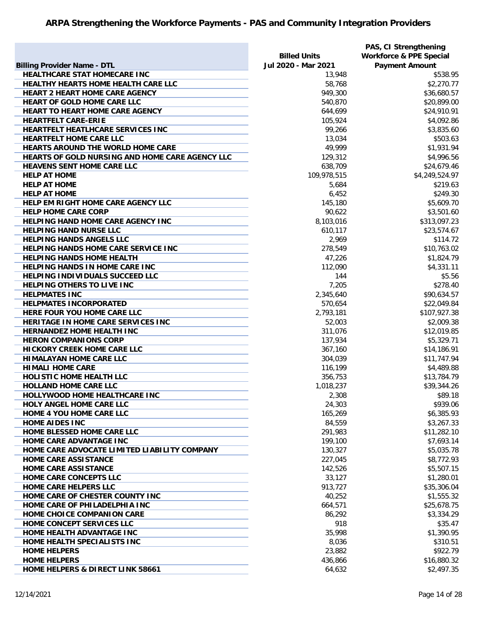|                                                 |                     | PAS, CI Strengthening              |
|-------------------------------------------------|---------------------|------------------------------------|
|                                                 | <b>Billed Units</b> | <b>Workforce &amp; PPE Special</b> |
| <b>Billing Provider Name - DTL</b>              | Jul 2020 - Mar 2021 | <b>Payment Amount</b>              |
| <b>HEALTHCARE STAT HOMECARE INC</b>             | 13,948              | \$538.95                           |
| HEALTHY HEARTS HOME HEALTH CARE LLC             | 58,768              | \$2,270.77                         |
| <b>HEART 2 HEART HOME CARE AGENCY</b>           | 949,300             | \$36,680.57                        |
| HEART OF GOLD HOME CARE LLC                     | 540,870             | \$20,899.00                        |
| <b>HEART TO HEART HOME CARE AGENCY</b>          | 644,699             | \$24,910.91                        |
| <b>HEARTFELT CARE-ERIE</b>                      | 105,924             | \$4,092.86                         |
| HEARTFELT HEATLHCARE SERVICES INC               | 99,266              | \$3,835.60                         |
| <b>HEARTFELT HOME CARE LLC</b>                  | 13,034              | \$503.63                           |
| <b>HEARTS AROUND THE WORLD HOME CARE</b>        | 49,999              | \$1,931.94                         |
| HEARTS OF GOLD NURSING AND HOME CARE AGENCY LLC | 129,312             | \$4,996.56                         |
| <b>HEAVENS SENT HOME CARE LLC</b>               | 638,709             | \$24,679.46                        |
| <b>HELP AT HOME</b>                             | 109,978,515         | \$4,249,524.97                     |
| <b>HELP AT HOME</b>                             | 5,684               | \$219.63                           |
| <b>HELP AT HOME</b>                             | 6,452               | \$249.30                           |
| HELP EM RIGHT HOME CARE AGENCY LLC              | 145,180             | \$5,609.70                         |
| <b>HELP HOME CARE CORP</b>                      | 90,622              | \$3,501.60                         |
| <b>HELPING HAND HOME CARE AGENCY INC</b>        | 8,103,016           | \$313,097.23                       |
| <b>HELPING HAND NURSE LLC</b>                   | 610,117             | \$23,574.67                        |
| <b>HELPING HANDS ANGELS LLC</b>                 | 2,969               | \$114.72                           |
| <b>HELPING HANDS HOME CARE SERVICE INC</b>      | 278,549             | \$10,763.02                        |
| <b>HELPING HANDS HOME HEALTH</b>                | 47,226              | \$1,824.79                         |
| <b>HELPING HANDS IN HOME CARE INC</b>           | 112,090             | \$4,331.11                         |
| HELPING INDIVIDUALS SUCCEED LLC                 | 144                 | \$5.56                             |
| <b>HELPING OTHERS TO LIVE INC</b>               | 7,205               | \$278.40                           |
| <b>HELPMATES INC</b>                            | 2,345,640           | \$90,634.57                        |
| <b>HELPMATES INCORPORATED</b>                   | 570,654             | \$22,049.84                        |
| HERE FOUR YOU HOME CARE LLC                     | 2,793,181           | \$107,927.38                       |
| HERITAGE IN HOME CARE SERVICES INC              | 52,003              | \$2,009.38                         |
| <b>HERNANDEZ HOME HEALTH INC</b>                | 311,076             | \$12,019.85                        |
| <b>HERON COMPANIONS CORP</b>                    | 137,934             | \$5,329.71                         |
| <b>HICKORY CREEK HOME CARE LLC</b>              | 367,160             | \$14,186.91                        |
| <b>HIMALAYAN HOME CARE LLC</b>                  | 304,039             | \$11,747.94                        |
| <b>HIMALI HOME CARE</b>                         | 116,199             | \$4,489.88                         |
| <b>HOLISTIC HOME HEALTH LLC</b>                 | 356,753             | \$13,784.79                        |
| <b>HOLLAND HOME CARE LLC</b>                    | 1,018,237           | \$39,344.26                        |
| HOLLYWOOD HOME HEALTHCARE INC                   | 2,308               | \$89.18                            |
| <b>HOLY ANGEL HOME CARE LLC</b>                 | 24,303              | \$939.06                           |
| HOME 4 YOU HOME CARE LLC                        | 165,269             | \$6,385.93                         |
| <b>HOME AIDES INC</b>                           | 84,559              | \$3,267.33                         |
| HOME BLESSED HOME CARE LLC                      | 291,983             | \$11,282.10                        |
| HOME CARE ADVANTAGE INC                         | 199,100             | \$7,693.14                         |
| HOME CARE ADVOCATE LIMITED LIABILITY COMPANY    | 130,327             | \$5,035.78                         |
| <b>HOME CARE ASSISTANCE</b>                     | 227,045             | \$8,772.93                         |
| <b>HOME CARE ASSISTANCE</b>                     | 142,526             | \$5,507.15                         |
| HOME CARE CONCEPTS LLC                          | 33,127              | \$1,280.01                         |
| HOME CARE HELPERS LLC                           | 913,727             | \$35,306.04                        |
| HOME CARE OF CHESTER COUNTY INC                 | 40,252              | \$1,555.32                         |
| HOME CARE OF PHILADELPHIA INC                   | 664,571             | \$25,678.75                        |
| HOME CHOICE COMPANION CARE                      | 86,292              | \$3,334.29                         |
| HOME CONCEPT SERVICES LLC                       | 918                 | \$35.47                            |
| HOME HEALTH ADVANTAGE INC                       | 35,998              | \$1,390.95                         |
| HOME HEALTH SPECIALISTS INC                     | 8,036               | \$310.51                           |
| <b>HOME HELPERS</b>                             | 23,882              | \$922.79                           |
| <b>HOME HELPERS</b>                             | 436,866             | \$16,880.32                        |
| <b>HOME HELPERS &amp; DIRECT LINK 58661</b>     | 64,632              | \$2,497.35                         |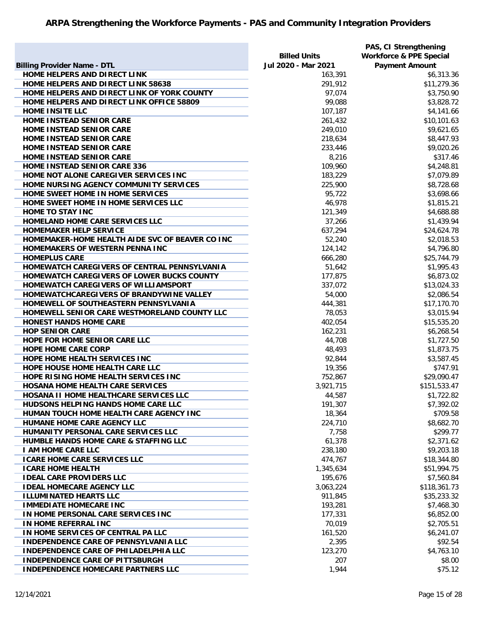|                                                 |                     | PAS, CI Strengthening              |
|-------------------------------------------------|---------------------|------------------------------------|
|                                                 | <b>Billed Units</b> | <b>Workforce &amp; PPE Special</b> |
| <b>Billing Provider Name - DTL</b>              | Jul 2020 - Mar 2021 | <b>Payment Amount</b>              |
| HOME HELPERS AND DIRECT LINK                    | 163,391             | \$6,313.36                         |
| HOME HELPERS AND DIRECT LINK 58638              | 291,912             | \$11,279.36                        |
| HOME HELPERS AND DIRECT LINK OF YORK COUNTY     | 97,074              | \$3,750.90                         |
| HOME HELPERS AND DIRECT LINK OFFICE 58809       | 99,088              | \$3,828.72                         |
| <b>HOME INSITE LLC</b>                          | 107,187             | \$4,141.66                         |
| HOME INSTEAD SENIOR CARE                        | 261,432             | \$10,101.63                        |
| HOME INSTEAD SENIOR CARE                        | 249,010             | \$9,621.65                         |
| HOME INSTEAD SENIOR CARE                        | 218,634             | \$8,447.93                         |
| HOME INSTEAD SENIOR CARE                        | 233,446             | \$9,020.26                         |
| HOME INSTEAD SENIOR CARE                        | 8,216               | \$317.46                           |
| <b>HOME INSTEAD SENIOR CARE 336</b>             | 109,960             | \$4,248.81                         |
| HOME NOT ALONE CAREGIVER SERVICES INC           | 183,229             | \$7,079.89                         |
| HOME NURSING AGENCY COMMUNITY SERVICES          |                     |                                    |
|                                                 | 225,900             | \$8,728.68                         |
| HOME SWEET HOME IN HOME SERVICES                | 95,722              | \$3,698.66                         |
| HOME SWEET HOME IN HOME SERVICES LLC            | 46,978              | \$1,815.21                         |
| <b>HOME TO STAY INC</b>                         | 121,349             | \$4,688.88                         |
| HOMELAND HOME CARE SERVICES LLC                 | 37,266              | \$1,439.94                         |
| <b>HOMEMAKER HELP SERVICE</b>                   | 637,294             | \$24,624.78                        |
| HOMEMAKER-HOME HEALTH AIDE SVC OF BEAVER CO INC | 52,240              | \$2,018.53                         |
| HOMEMAKERS OF WESTERN PENNA INC                 | 124,142             | \$4,796.80                         |
| <b>HOMEPLUS CARE</b>                            | 666,280             | \$25,744.79                        |
| HOMEWATCH CAREGIVERS OF CENTRAL PENNSYLVANIA    | 51,642              | \$1,995.43                         |
| HOMEWATCH CAREGIVERS OF LOWER BUCKS COUNTY      | 177,875             | \$6,873.02                         |
| HOMEWATCH CAREGIVERS OF WILLIAMSPORT            | 337,072             | \$13,024.33                        |
| HOMEWATCHCAREGIVERS OF BRANDYWINE VALLEY        | 54,000              | \$2,086.54                         |
| HOMEWELL OF SOUTHEASTERN PENNSYLVANIA           | 444,381             | \$17,170.70                        |
| HOMEWELL SENIOR CARE WESTMORELAND COUNTY LLC    | 78,053              | \$3,015.94                         |
| <b>HONEST HANDS HOME CARE</b>                   | 402,054             | \$15,535.20                        |
| <b>HOP SENIOR CARE</b>                          | 162,231             | \$6,268.54                         |
| HOPE FOR HOME SENIOR CARE LLC                   | 44,708              | \$1,727.50                         |
| <b>HOPE HOME CARE CORP</b>                      | 48,493              | \$1,873.75                         |
| HOPE HOME HEALTH SERVICES INC                   | 92,844              | \$3,587.45                         |
| HOPE HOUSE HOME HEALTH CARE LLC                 | 19,356              | \$747.91                           |
| HOPE RISING HOME HEALTH SERVICES INC            | 752,867             | \$29,090.47                        |
| <b>HOSANA HOME HEALTH CARE SERVICES</b>         | 3,921,715           | \$151,533.47                       |
| HOSANA II HOME HEALTHCARE SERVICES LLC          | 44,587              | \$1,722.82                         |
| <b>HUDSONS HELPING HANDS HOME CARE LLC</b>      | 191,307             | \$7,392.02                         |
| HUMAN TOUCH HOME HEALTH CARE AGENCY INC         | 18,364              | \$709.58                           |
| <b>HUMANE HOME CARE AGENCY LLC</b>              | 224,710             | \$8,682.70                         |
| HUMANITY PERSONAL CARE SERVICES LLC             | 7,758               | \$299.77                           |
| HUMBLE HANDS HOME CARE & STAFFING LLC           | 61,378              | \$2,371.62                         |
| <b>I AM HOME CARE LLC</b>                       | 238,180             | \$9,203.18                         |
| <b>ICARE HOME CARE SERVICES LLC</b>             | 474,767             | \$18,344.80                        |
| <b>ICARE HOME HEALTH</b>                        | 1,345,634           | \$51,994.75                        |
| <b>IDEAL CARE PROVIDERS LLC</b>                 | 195,676             | \$7,560.84                         |
| <b>IDEAL HOMECARE AGENCY LLC</b>                | 3,063,224           | \$118,361.73                       |
| <b>ILLUMINATED HEARTS LLC</b>                   | 911,845             | \$35,233.32                        |
|                                                 |                     |                                    |
| <b>IMMEDIATE HOMECARE INC</b>                   | 193,281             | \$7,468.30                         |
| IN HOME PERSONAL CARE SERVICES INC              | 177,331             | \$6,852.00                         |
| IN HOME REFERRAL INC                            | 70,019              | \$2,705.51                         |
| IN HOME SERVICES OF CENTRAL PA LLC              | 161,520             | \$6,241.07                         |
| <b>INDEPENDENCE CARE OF PENNSYLVANIA LLC</b>    | 2,395               | \$92.54                            |
| <b>INDEPENDENCE CARE OF PHILADELPHIA LLC</b>    | 123,270             | \$4,763.10                         |
| <b>INDEPENDENCE CARE OF PITTSBURGH</b>          | 207                 | \$8.00                             |
| <b>INDEPENDENCE HOMECARE PARTNERS LLC</b>       | 1,944               | \$75.12                            |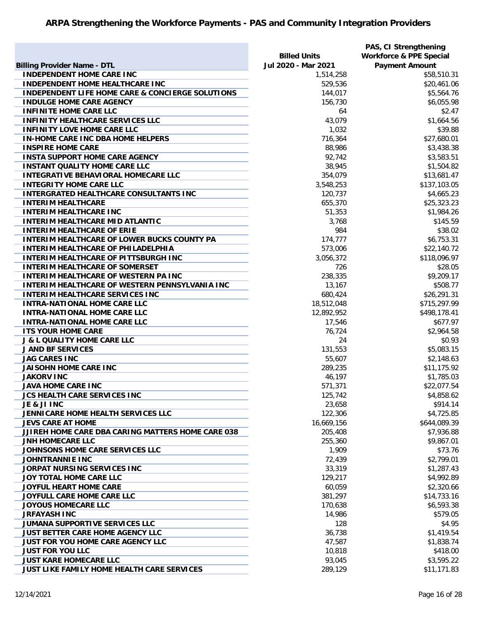|                                                             |                     | PAS, CI Strengthening              |
|-------------------------------------------------------------|---------------------|------------------------------------|
|                                                             | <b>Billed Units</b> | <b>Workforce &amp; PPE Special</b> |
| <b>Billing Provider Name - DTL</b>                          | Jul 2020 - Mar 2021 | <b>Payment Amount</b>              |
| <b>INDEPENDENT HOME CARE INC</b>                            | 1,514,258           | \$58,510.31                        |
| <b>INDEPENDENT HOME HEALTHCARE INC</b>                      | 529,536             | \$20,461.06                        |
| <b>INDEPENDENT LIFE HOME CARE &amp; CONCIERGE SOLUTIONS</b> | 144,017             | \$5,564.76                         |
| <b>INDULGE HOME CARE AGENCY</b>                             | 156,730             | \$6,055.98                         |
| <b>INFINITE HOME CARE LLC</b>                               | 64                  | \$2.47                             |
| <b>INFINITY HEALTHCARE SERVICES LLC</b>                     | 43,079              | \$1,664.56                         |
| <b>INFINITY LOVE HOME CARE LLC</b>                          | 1,032               | \$39.88                            |
| <b>IN-HOME CARE INC DBA HOME HELPERS</b>                    | 716,364             | \$27,680.01                        |
| <b>INSPIRE HOME CARE</b>                                    | 88,986              | \$3,438.38                         |
| <b>INSTA SUPPORT HOME CARE AGENCY</b>                       | 92,742              | \$3,583.51                         |
| <b>INSTANT QUALITY HOME CARE LLC</b>                        | 38,945              | \$1,504.82                         |
| <b>INTEGRATIVE BEHAVIORAL HOMECARE LLC</b>                  | 354,079             | \$13,681.47                        |
| <b>INTEGRITY HOME CARE LLC</b>                              | 3,548,253           | \$137,103.05                       |
| <b>INTERGRATED HEALTHCARE CONSULTANTS INC</b>               | 120,737             | \$4,665.23                         |
| <b>INTERIM HEALTHCARE</b>                                   | 655,370             | \$25,323.23                        |
| <b>INTERIM HEALTHCARE INC</b>                               | 51,353              | \$1,984.26                         |
| <b>INTERIM HEALTHCARE MID ATLANTIC</b>                      | 3,768               | \$145.59                           |
| <b>INTERIM HEALTHCARE OF ERIE</b>                           | 984                 | \$38.02                            |
| <b>INTERIM HEALTHCARE OF LOWER BUCKS COUNTY PA</b>          | 174,777             | \$6,753.31                         |
| INTERIM HEALTHCARE OF PHILADELPHIA                          | 573,006             | \$22,140.72                        |
| <b>INTERIM HEALTHCARE OF PITTSBURGH INC</b>                 | 3,056,372           | \$118,096.97                       |
| <b>INTERIM HEALTHCARE OF SOMERSET</b>                       | 726                 | \$28.05                            |
| <b>INTERIM HEALTHCARE OF WESTERN PA INC</b>                 | 238,335             | \$9,209.17                         |
| <b>INTERIM HEALTHCARE OF WESTERN PENNSYLVANIA INC</b>       | 13,167              | \$508.77                           |
| <b>INTERIM HEALTHCARE SERVICES INC</b>                      | 680,424             | \$26,291.31                        |
| <b>INTRA-NATIONAL HOME CARE LLC</b>                         | 18,512,048          | \$715,297.99                       |
| <b>INTRA-NATIONAL HOME CARE LLC</b>                         | 12,892,952          | \$498,178.41                       |
| <b>INTRA-NATIONAL HOME CARE LLC</b>                         | 17,546              | \$677.97                           |
| <b>ITS YOUR HOME CARE</b>                                   | 76,724              | \$2,964.58                         |
| <b>J &amp; L QUALITY HOME CARE LLC</b>                      | 24                  | \$0.93                             |
| <b>J AND BF SERVICES</b>                                    | 131,553             | \$5,083.15                         |
| <b>JAG CARES INC</b>                                        | 55,607              | \$2,148.63                         |
| JAISOHN HOME CARE INC                                       | 289,235             | \$11,175.92                        |
| <b>JAKORV INC</b>                                           | 46,197              | \$1,785.03                         |
| <b>JAVA HOME CARE INC</b>                                   | 571,371             | \$22,077.54                        |
| JCS HEALTH CARE SERVICES INC                                | 125,742             | \$4,858.62                         |
| JE & JI INC                                                 | 23,658              | \$914.14                           |
| JENNICARE HOME HEALTH SERVICES LLC                          | 122,306             | \$4,725.85                         |
| <b>JEVS CARE AT HOME</b>                                    | 16,669,156          | \$644,089.39                       |
| JJIREH HOME CARE DBA CARING MATTERS HOME CARE 038           | 205,408             | \$7,936.88                         |
| <b>JNH HOMECARE LLC</b>                                     | 255,360             | \$9,867.01                         |
| JOHNSONS HOME CARE SERVICES LLC                             | 1,909               | \$73.76                            |
| <b>JOHNTRANNIE INC</b>                                      | 72,439              | \$2,799.01                         |
| JORPAT NURSING SERVICES INC                                 | 33,319              | \$1,287.43                         |
| JOY TOTAL HOME CARE LLC                                     | 129,217             | \$4,992.89                         |
| JOYFUL HEART HOME CARE                                      | 60,059              | \$2,320.66                         |
| JOYFULL CARE HOME CARE LLC                                  | 381,297             | \$14,733.16                        |
| <b>JOYOUS HOMECARE LLC</b>                                  | 170,638             | \$6,593.38                         |
| <b>JRFAYASH INC</b>                                         | 14,986              | \$579.05                           |
| JUMANA SUPPORTIVE SERVICES LLC                              | 128                 | \$4.95                             |
| JUST BETTER CARE HOME AGENCY LLC                            | 36,738              | \$1,419.54                         |
| <b>JUST FOR YOU HOME CARE AGENCY LLC</b>                    | 47,587              | \$1,838.74                         |
| <b>JUST FOR YOU LLC</b>                                     | 10,818              | \$418.00                           |
| <b>JUST KARE HOMECARE LLC</b>                               | 93,045              | \$3,595.22                         |
| JUST LIKE FAMILY HOME HEALTH CARE SERVICES                  | 289,129             | \$11,171.83                        |
|                                                             |                     |                                    |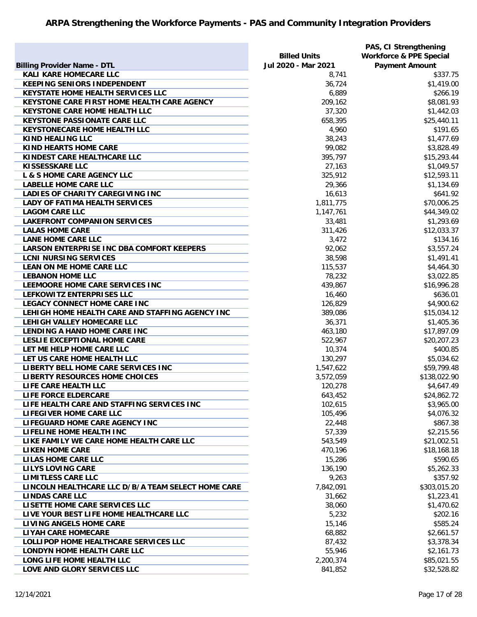|                                                    | <b>Billed Units</b> | PAS, CI Strengthening<br><b>Workforce &amp; PPE Special</b> |
|----------------------------------------------------|---------------------|-------------------------------------------------------------|
| <b>Billing Provider Name - DTL</b>                 | Jul 2020 - Mar 2021 | <b>Payment Amount</b>                                       |
| <b>KALI KARE HOMECARE LLC</b>                      | 8,741               | \$337.75                                                    |
| <b>KEEPING SENIORS INDEPENDENT</b>                 | 36,724              | \$1,419.00                                                  |
| <b>KEYSTATE HOME HEALTH SERVICES LLC</b>           | 6,889               | \$266.19                                                    |
| KEYSTONE CARE FIRST HOME HEALTH CARE AGENCY        | 209,162             | \$8,081.93                                                  |
| <b>KEYSTONE CARE HOME HEALTH LLC</b>               | 37,320              | \$1,442.03                                                  |
| <b>KEYSTONE PASSIONATE CARE LLC</b>                | 658,395             | \$25,440.11                                                 |
| <b>KEYSTONECARE HOME HEALTH LLC</b>                | 4,960               | \$191.65                                                    |
| <b>KIND HEALING LLC</b>                            | 38,243              | \$1,477.69                                                  |
| <b>KIND HEARTS HOME CARE</b>                       | 99,082              | \$3,828.49                                                  |
| KINDEST CARE HEALTHCARE LLC                        | 395,797             | \$15,293.44                                                 |
| <b>KISSESSKARE LLC</b>                             | 27,163              | \$1,049.57                                                  |
| <b>L &amp; S HOME CARE AGENCY LLC</b>              | 325,912             | \$12,593.11                                                 |
| <b>LABELLE HOME CARE LLC</b>                       | 29,366              | \$1,134.69                                                  |
| LADIES OF CHARITY CAREGIVING INC                   | 16,613              | \$641.92                                                    |
| <b>LADY OF FATIMA HEALTH SERVICES</b>              | 1,811,775           | \$70,006.25                                                 |
| <b>LAGOM CARE LLC</b>                              | 1,147,761           | \$44,349.02                                                 |
| <b>LAKEFRONT COMPANION SERVICES</b>                | 33,481              | \$1,293.69                                                  |
| <b>LALAS HOME CARE</b>                             | 311,426             | \$12,033.37                                                 |
| <b>LANE HOME CARE LLC</b>                          | 3,472               | \$134.16                                                    |
| <b>LARSON ENTERPRISE INC DBA COMFORT KEEPERS</b>   | 92,062              | \$3,557.24                                                  |
| <b>LCNI NURSING SERVICES</b>                       | 38,598              | \$1,491.41                                                  |
| LEAN ON ME HOME CARE LLC                           | 115,537             | \$4,464.30                                                  |
| <b>LEBANON HOME LLC</b>                            | 78,232              | \$3,022.85                                                  |
| LEEMOORE HOME CARE SERVICES INC                    | 439,867             | \$16,996.28                                                 |
| LEFKOWITZ ENTERPRISES LLC                          | 16,460              | \$636.01                                                    |
| <b>LEGACY CONNECT HOME CARE INC</b>                | 126,829             | \$4,900.62                                                  |
| LEHIGH HOME HEALTH CARE AND STAFFING AGENCY INC    | 389,086             | \$15,034.12                                                 |
| LEHIGH VALLEY HOMECARE LLC                         | 36,371              | \$1,405.36                                                  |
| LENDING A HAND HOME CARE INC                       | 463,180             | \$17,897.09                                                 |
| LESLIE EXCEPTIONAL HOME CARE                       | 522,967             | \$20,207.23                                                 |
| LET ME HELP HOME CARE LLC                          | 10,374              | \$400.85                                                    |
| LET US CARE HOME HEALTH LLC                        | 130,297             | \$5,034.62                                                  |
| LIBERTY BELL HOME CARE SERVICES INC                | 1,547,622           | \$59,799.48                                                 |
| LIBERTY RESOURCES HOME CHOICES                     | 3,572,059           | \$138,022.90                                                |
| LIFE CARE HEALTH LLC                               | 120,278             | \$4,647.49                                                  |
| LIFE FORCE ELDERCARE                               | 643,452             | \$24,862.72                                                 |
| LIFE HEALTH CARE AND STAFFING SERVICES INC         | 102,615             | \$3,965.00                                                  |
| LIFEGIVER HOME CARE LLC                            | 105,496             | \$4,076.32                                                  |
| LIFEGUARD HOME CARE AGENCY INC                     | 22,448              | \$867.38                                                    |
| LIFELINE HOME HEALTH INC                           | 57,339              | \$2,215.56                                                  |
| LIKE FAMILY WE CARE HOME HEALTH CARE LLC           | 543,549             | \$21,002.51                                                 |
| <b>LIKEN HOME CARE</b>                             | 470,196             | \$18,168.18                                                 |
| <b>LILAS HOME CARE LLC</b>                         | 15,286              | \$590.65                                                    |
| <b>LILYS LOVING CARE</b>                           | 136,190             | \$5,262.33                                                  |
| <b>LIMITLESS CARE LLC</b>                          | 9,263               | \$357.92                                                    |
| LINCOLN HEALTHCARE LLC D/B/A TEAM SELECT HOME CARE | 7,842,091           | \$303,015.20                                                |
| <b>LINDAS CARE LLC</b>                             | 31,662              | \$1,223.41                                                  |
| LISETTE HOME CARE SERVICES LLC                     | 38,060              | \$1,470.62                                                  |
| LIVE YOUR BEST LIFE HOME HEALTHCARE LLC            | 5,232               | \$202.16                                                    |
| <b>LIVING ANGELS HOME CARE</b>                     | 15,146              | \$585.24                                                    |
| <b>LIYAH CARE HOMECARE</b>                         | 68,882              | \$2,661.57                                                  |
| LOLLIPOP HOME HEALTHCARE SERVICES LLC              | 87,432              | \$3,378.34                                                  |
| LONDYN HOME HEALTH CARE LLC                        | 55,946              | \$2,161.73                                                  |
| LONG LIFE HOME HEALTH LLC                          | 2,200,374           |                                                             |
|                                                    |                     | \$85,021.55                                                 |
| LOVE AND GLORY SERVICES LLC                        | 841,852             | \$32,528.82                                                 |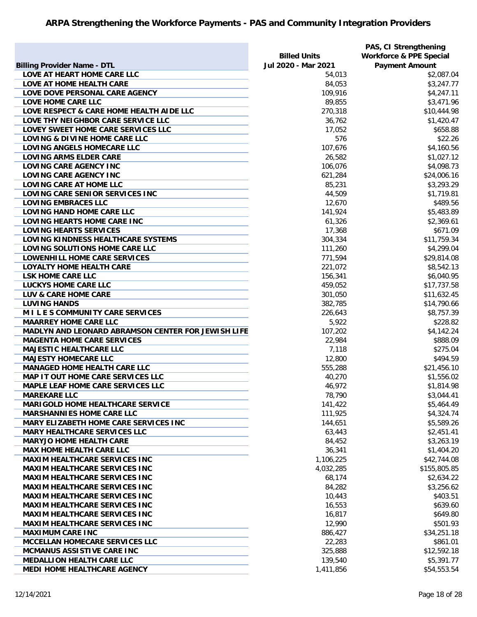|                                                    |                     | PAS, CI Strengthening              |
|----------------------------------------------------|---------------------|------------------------------------|
|                                                    | <b>Billed Units</b> | <b>Workforce &amp; PPE Special</b> |
| <b>Billing Provider Name - DTL</b>                 | Jul 2020 - Mar 2021 | <b>Payment Amount</b>              |
| LOVE AT HEART HOME CARE LLC                        | 54,013              | \$2,087.04                         |
| LOVE AT HOME HEALTH CARE                           | 84,053              | \$3,247.77                         |
| LOVE DOVE PERSONAL CARE AGENCY                     | 109,916             | \$4,247.11                         |
| LOVE HOME CARE LLC                                 | 89,855              | \$3,471.96                         |
| LOVE RESPECT & CARE HOME HEALTH AIDE LLC           | 270,318             | \$10,444.98                        |
| LOVE THY NEIGHBOR CARE SERVICE LLC                 | 36,762              | \$1,420.47                         |
| LOVEY SWEET HOME CARE SERVICES LLC                 | 17,052              | \$658.88                           |
| LOVING & DIVINE HOME CARE LLC                      | 576                 | \$22.26                            |
| LOVING ANGELS HOMECARE LLC                         | 107,676             | \$4,160.56                         |
| <b>LOVING ARMS ELDER CARE</b>                      | 26,582              | \$1,027.12                         |
| LOVING CARE AGENCY INC                             | 106,076             | \$4,098.73                         |
| LOVING CARE AGENCY INC                             | 621,284             | \$24,006.16                        |
| <b>LOVING CARE AT HOME LLC</b>                     | 85,231              | \$3,293.29                         |
| LOVING CARE SENIOR SERVICES INC                    | 44,509              | \$1,719.81                         |
| <b>LOVING EMBRACES LLC</b>                         | 12,670              | \$489.56                           |
| LOVING HAND HOME CARE LLC                          | 141,924             | \$5,483.89                         |
| LOVING HEARTS HOME CARE INC                        | 61,326              | \$2,369.61                         |
| <b>LOVING HEARTS SERVICES</b>                      | 17,368              | \$671.09                           |
| LOVING KINDNESS HEALTHCARE SYSTEMS                 | 304,334             | \$11,759.34                        |
| LOVING SOLUTIONS HOME CARE LLC                     | 111,260             | \$4,299.04                         |
| LOWENHILL HOME CARE SERVICES                       | 771,594             | \$29,814.08                        |
| <b>LOYALTY HOME HEALTH CARE</b>                    | 221,072             | \$8,542.13                         |
| <b>LSK HOME CARE LLC</b>                           | 156,341             | \$6,040.95                         |
| <b>LUCKYS HOME CARE LLC</b>                        | 459,052             | \$17,737.58                        |
| LUV & CARE HOME CARE                               | 301,050             | \$11,632.45                        |
| <b>LUVING HANDS</b>                                | 382,785             | \$14,790.66                        |
| MILES COMMUNITY CARE SERVICES                      | 226,643             | \$8,757.39                         |
| <b>MAARREY HOME CARE LLC</b>                       | 5,922               | \$228.82                           |
| MADLYN AND LEONARD ABRAMSON CENTER FOR JEWISH LIFE | 107,202             | \$4,142.24                         |
| <b>MAGENTA HOME CARE SERVICES</b>                  | 22,984              | \$888.09                           |
| <b>MAJESTIC HEALTHCARE LLC</b>                     | 7,118               | \$275.04                           |
| <b>MAJESTY HOMECARE LLC</b>                        | 12,800              | \$494.59                           |
| <b>MANAGED HOME HEALTH CARE LLC</b>                | 555,288             | \$21,456.10                        |
| MAP IT OUT HOME CARE SERVICES LLC                  | 40,270              | \$1,556.02                         |
| <b>MAPLE LEAF HOME CARE SERVICES LLC</b>           | 46,972              | \$1,814.98                         |
| <b>MAREKARE LLC</b>                                | 78,790              | \$3,044.41                         |
| <b>MARIGOLD HOME HEALTHCARE SERVICE</b>            | 141,422             | \$5,464.49                         |
| <b>MARSHANNIES HOME CARE LLC</b>                   | 111,925             | \$4,324.74                         |
| MARY ELIZABETH HOME CARE SERVICES INC              | 144,651             | \$5,589.26                         |
| <b>MARY HEALTHCARE SERVICES LLC</b>                | 63,443              | \$2,451.41                         |
| <b>MARYJO HOME HEALTH CARE</b>                     | 84,452              | \$3,263.19                         |
| <b>MAX HOME HEALTH CARE LLC</b>                    | 36,341              | \$1,404.20                         |
| <b>MAXIM HEALTHCARE SERVICES INC</b>               | 1,106,225           | \$42,744.08                        |
| <b>MAXIM HEALTHCARE SERVICES INC</b>               | 4,032,285           | \$155,805.85                       |
| MAXIM HEALTHCARE SERVICES INC                      | 68,174              | \$2,634.22                         |
| <b>MAXIM HEALTHCARE SERVICES INC</b>               | 84,282              | \$3,256.62                         |
| <b>MAXIM HEALTHCARE SERVICES INC</b>               | 10,443              | \$403.51                           |
| <b>MAXIM HEALTHCARE SERVICES INC</b>               | 16,553              | \$639.60                           |
| <b>MAXIM HEALTHCARE SERVICES INC</b>               | 16,817              | \$649.80                           |
| <b>MAXIM HEALTHCARE SERVICES INC</b>               | 12,990              | \$501.93                           |
| <b>MAXIMUM CARE INC</b>                            | 886,427             | \$34,251.18                        |
| <b>MCCELLAN HOMECARE SERVICES LLC</b>              | 22,283              | \$861.01                           |
| MCMANUS ASSISTIVE CARE INC                         | 325,888             | \$12,592.18                        |
| <b>MEDALLION HEALTH CARE LLC</b>                   | 139,540             | \$5,391.77                         |
| MEDI HOME HEALTHCARE AGENCY                        |                     |                                    |
|                                                    | 1,411,856           | \$54,553.54                        |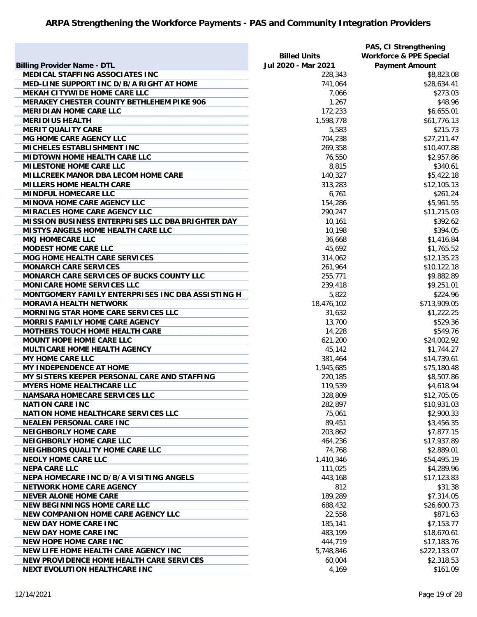|                                                   |                     | PAS, CI Strengthening              |
|---------------------------------------------------|---------------------|------------------------------------|
|                                                   | <b>Billed Units</b> | <b>Workforce &amp; PPE Special</b> |
| <b>Billing Provider Name - DTL</b>                | Jul 2020 - Mar 2021 | <b>Payment Amount</b>              |
| MEDICAL STAFFING ASSOCIATES INC                   | 228,343             | \$8,823.08                         |
| MED-LINE SUPPORT INC D/B/A RIGHT AT HOME          | 741,064             | \$28,634.41                        |
| MEKAH CITYWIDE HOME CARE LLC                      | 7,066               | \$273.03                           |
| MERAKEY CHESTER COUNTY BETHLEHEM PIKE 906         | 1,267               | \$48.96                            |
| <b>MERIDIAN HOME CARE LLC</b>                     | 172,233             | \$6,655.01                         |
| <b>MERIDIUS HEALTH</b>                            | 1,598,778           | \$61,776.13                        |
| <b>MERIT QUALITY CARE</b>                         | 5,583               | \$215.73                           |
| MG HOME CARE AGENCY LLC                           | 704,238             | \$27,211.47                        |
| MICHELES ESTABLISHMENT INC                        | 269,358             | \$10,407.88                        |
| <b>MIDTOWN HOME HEALTH CARE LLC</b>               | 76,550              | \$2,957.86                         |
| <b>MILESTONE HOME CARE LLC</b>                    | 8,815               | \$340.61                           |
| <b>MILLCREEK MANOR DBA LECOM HOME CARE</b>        | 140,327             | \$5,422.18                         |
| <b>MILLERS HOME HEALTH CARE</b>                   | 313,283             | \$12,105.13                        |
| <b>MINDFUL HOMECARE LLC</b>                       | 6,761               | \$261.24                           |
| <b>MINOVA HOME CARE AGENCY LLC</b>                | 154,286             | \$5,961.55                         |
| <b>MIRACLES HOME CARE AGENCY LLC</b>              | 290,247             | \$11,215.03                        |
| MISSION BUSINESS ENTERPRISES LLC DBA BRIGHTER DAY | 10,161              | \$392.62                           |
| <b>MISTYS ANGELS HOME HEALTH CARE LLC</b>         | 10,198              | \$394.05                           |
| <b>MKJ HOMECARE LLC</b>                           | 36,668              | \$1,416.84                         |
| <b>MODEST HOME CARE LLC</b>                       |                     |                                    |
|                                                   | 45,692              | \$1,765.52                         |
| <b>MOG HOME HEALTH CARE SERVICES</b>              | 314,062             | \$12,135.23                        |
| <b>MONARCH CARE SERVICES</b>                      | 261,964             | \$10,122.18                        |
| MONARCH CARE SERVICES OF BUCKS COUNTY LLC         | 255,771             | \$9,882.89                         |
| <b>MONICARE HOME SERVICES LLC</b>                 | 239,418             | \$9,251.01                         |
| MONTGOMERY FAMILY ENTERPRISES INC DBA ASSISTING H | 5,822               | \$224.96                           |
| <b>MORAVIA HEALTH NETWORK</b>                     | 18,476,102          | \$713,909.05                       |
| <b>MORNING STAR HOME CARE SERVICES LLC</b>        | 31,632              | \$1,222.25                         |
| <b>MORRIS FAMILY HOME CARE AGENCY</b>             | 13,700              | \$529.36                           |
| <b>MOTHERS TOUCH HOME HEALTH CARE</b>             | 14,228              | \$549.76                           |
| <b>MOUNT HOPE HOME CARE LLC</b>                   | 621,200             | \$24,002.92                        |
| MULTICARE HOME HEALTH AGENCY                      | 45,142              | \$1,744.27                         |
| <b>MY HOME CARE LLC</b>                           | 381,464             | \$14,739.61                        |
| MY INDEPENDENCE AT HOME                           | 1,945,685           | \$75,180.48                        |
| MY SISTERS KEEPER PERSONAL CARE AND STAFFING      | 220,185             | \$8,507.86                         |
| <b>MYERS HOME HEALTHCARE LLC</b>                  | 119,539             | \$4,618.94                         |
| <b>NAMSARA HOMECARE SERVICES LLC</b>              | 328,809             | \$12,705.05                        |
| <b>NATION CARE INC</b>                            | 282,897             | \$10,931.03                        |
| <b>NATION HOME HEALTHCARE SERVICES LLC</b>        | 75,061              | \$2,900.33                         |
| <b>NEALEN PERSONAL CARE INC</b>                   | 89,451              | \$3,456.35                         |
| <b>NEIGHBORLY HOME CARE</b>                       | 203,862             | \$7,877.15                         |
| <b>NEIGHBORLY HOME CARE LLC</b>                   | 464,236             | \$17,937.89                        |
| <b>NEIGHBORS QUALITY HOME CARE LLC</b>            | 74,768              | \$2,889.01                         |
| <b>NEOLY HOME CARE LLC</b>                        | 1,410,346           | \$54,495.19                        |
| <b>NEPA CARE LLC</b>                              | 111,025             | \$4,289.96                         |
| <b>NEPA HOMECARE INC D/B/A VISITING ANGELS</b>    | 443,168             | \$17,123.83                        |
| <b>NETWORK HOME CARE AGENCY</b>                   | 812                 | \$31.38                            |
| <b>NEVER ALONE HOME CARE</b>                      | 189,289             | \$7,314.05                         |
| <b>NEW BEGINNINGS HOME CARE LLC</b>               | 688,432             | \$26,600.73                        |
| <b>NEW COMPANION HOME CARE AGENCY LLC</b>         | 22,558              | \$871.63                           |
| <b>NEW DAY HOME CARE INC</b>                      | 185,141             | \$7,153.77                         |
| <b>NEW DAY HOME CARE INC</b>                      | 483,199             | \$18,670.61                        |
| <b>NEW HOPE HOME CARE INC</b>                     | 444,719             | \$17,183.76                        |
| NEW LIFE HOME HEALTH CARE AGENCY INC              | 5,748,846           | \$222,133.07                       |
| NEW PROVIDENCE HOME HEALTH CARE SERVICES          | 60,004              | \$2,318.53                         |
| <b>NEXT EVOLUTION HEALTHCARE INC</b>              | 4,169               | \$161.09                           |
|                                                   |                     |                                    |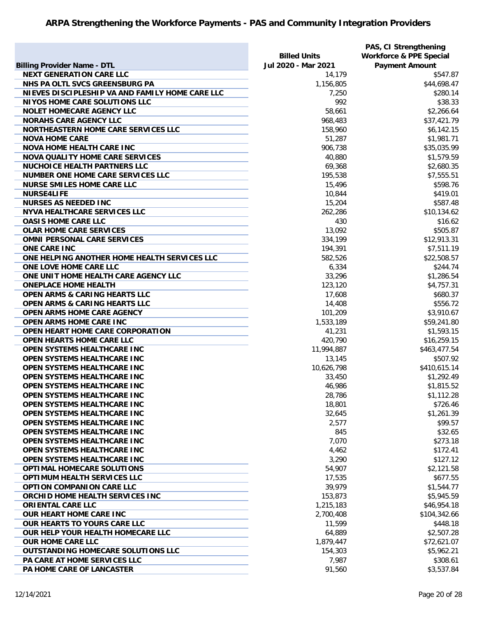|                                                 |                     | PAS, CI Strengthening              |
|-------------------------------------------------|---------------------|------------------------------------|
|                                                 | <b>Billed Units</b> | <b>Workforce &amp; PPE Special</b> |
| <b>Billing Provider Name - DTL</b>              | Jul 2020 - Mar 2021 | <b>Payment Amount</b>              |
| <b>NEXT GENERATION CARE LLC</b>                 | 14,179              | \$547.87                           |
| NHS PA OLTL SVCS GREENSBURG PA                  | 1,156,805           | \$44,698.47                        |
| NIEVES DISCIPLESHIP VA AND FAMILY HOME CARE LLC | 7,250               | \$280.14                           |
| <b>NIYOS HOME CARE SOLUTIONS LLC</b>            | 992                 | \$38.33                            |
| <b>NOLET HOMECARE AGENCY LLC</b>                | 58,661              | \$2,266.64                         |
| <b>NORAHS CARE AGENCY LLC</b>                   |                     |                                    |
|                                                 | 968,483             | \$37,421.79                        |
| NORTHEASTERN HOME CARE SERVICES LLC             | 158,960             | \$6,142.15                         |
| <b>NOVA HOME CARE</b>                           | 51,287              | \$1,981.71                         |
| <b>NOVA HOME HEALTH CARE INC</b>                | 906,738             | \$35,035.99                        |
| <b>NOVA QUALITY HOME CARE SERVICES</b>          | 40,880              | \$1,579.59                         |
| <b>NUCHOICE HEALTH PARTNERS LLC</b>             | 69,368              | \$2,680.35                         |
| <b>NUMBER ONE HOME CARE SERVICES LLC</b>        | 195,538             | \$7,555.51                         |
| <b>NURSE SMILES HOME CARE LLC</b>               | 15,496              | \$598.76                           |
| <b>NURSE4LIFE</b>                               | 10,844              | \$419.01                           |
| <b>NURSES AS NEEDED INC</b>                     | 15,204              | \$587.48                           |
| <b>NYVA HEALTHCARE SERVICES LLC</b>             | 262,286             | \$10,134.62                        |
| <b>OASIS HOME CARE LLC</b>                      | 430                 | \$16.62                            |
| <b>OLAR HOME CARE SERVICES</b>                  | 13,092              | \$505.87                           |
| <b>OMNI PERSONAL CARE SERVICES</b>              | 334,199             | \$12,913.31                        |
| <b>ONE CARE INC</b>                             | 194,391             | \$7,511.19                         |
| ONE HELPING ANOTHER HOME HEALTH SERVICES LLC    | 582,526             | \$22,508.57                        |
| ONE LOVE HOME CARE LLC                          | 6,334               | \$244.74                           |
| ONE UNIT HOME HEALTH CARE AGENCY LLC            | 33,296              | \$1,286.54                         |
| <b>ONEPLACE HOME HEALTH</b>                     | 123,120             | \$4,757.31                         |
| <b>OPEN ARMS &amp; CARING HEARTS LLC</b>        | 17,608              | \$680.37                           |
| <b>OPEN ARMS &amp; CARING HEARTS LLC</b>        | 14,408              | \$556.72                           |
| <b>OPEN ARMS HOME CARE AGENCY</b>               | 101,209             | \$3,910.67                         |
| OPEN ARMS HOME CARE INC                         | 1,533,189           | \$59,241.80                        |
| OPEN HEART HOME CARE CORPORATION                | 41,231              | \$1,593.15                         |
| OPEN HEARTS HOME CARE LLC                       | 420,790             | \$16,259.15                        |
| OPEN SYSTEMS HEALTHCARE INC                     | 11,994,887          | \$463,477.54                       |
| OPEN SYSTEMS HEALTHCARE INC                     | 13,145              | \$507.92                           |
|                                                 |                     |                                    |
| OPEN SYSTEMS HEALTHCARE INC                     | 10,626,798          | \$410,615.14                       |
| OPEN SYSTEMS HEALTHCARE INC                     | 33,450              | \$1,292.49                         |
| <b>OPEN SYSTEMS HEALTHCARE INC</b>              | 46,986              | \$1,815.52                         |
| OPEN SYSTEMS HEALTHCARE INC                     | 28,786              | \$1,112.28                         |
| OPEN SYSTEMS HEALTHCARE INC                     | 18,801              | \$726.46                           |
| OPEN SYSTEMS HEALTHCARE INC                     | 32,645              | \$1,261.39                         |
| <b>OPEN SYSTEMS HEALTHCARE INC</b>              | 2,577               | \$99.57                            |
| OPEN SYSTEMS HEALTHCARE INC                     | 845                 | \$32.65                            |
| <b>OPEN SYSTEMS HEALTHCARE INC</b>              | 7,070               | \$273.18                           |
| OPEN SYSTEMS HEALTHCARE INC                     | 4,462               | \$172.41                           |
| OPEN SYSTEMS HEALTHCARE INC                     | 3,290               | \$127.12                           |
| OPTIMAL HOMECARE SOLUTIONS                      | 54,907              | \$2,121.58                         |
| <b>OPTIMUM HEALTH SERVICES LLC</b>              | 17,535              | \$677.55                           |
| <b>OPTION COMPANION CARE LLC</b>                | 39,979              | \$1,544.77                         |
| ORCHID HOME HEALTH SERVICES INC                 | 153,873             | \$5,945.59                         |
| <b>ORIENTAL CARE LLC</b>                        | 1,215,183           | \$46,954.18                        |
| <b>OUR HEART HOME CARE INC</b>                  | 2,700,408           | \$104,342.66                       |
| <b>OUR HEARTS TO YOURS CARE LLC</b>             | 11,599              | \$448.18                           |
| OUR HELP YOUR HEALTH HOMECARE LLC               | 64,889              | \$2,507.28                         |
| <b>OUR HOME CARE LLC</b>                        | 1,879,447           | \$72,621.07                        |
| <b>OUTSTANDING HOMECARE SOLUTIONS LLC</b>       | 154,303             | \$5,962.21                         |
| PA CARE AT HOME SERVICES LLC                    | 7,987               | \$308.61                           |
| PA HOME CARE OF LANCASTER                       | 91,560              | \$3,537.84                         |
|                                                 |                     |                                    |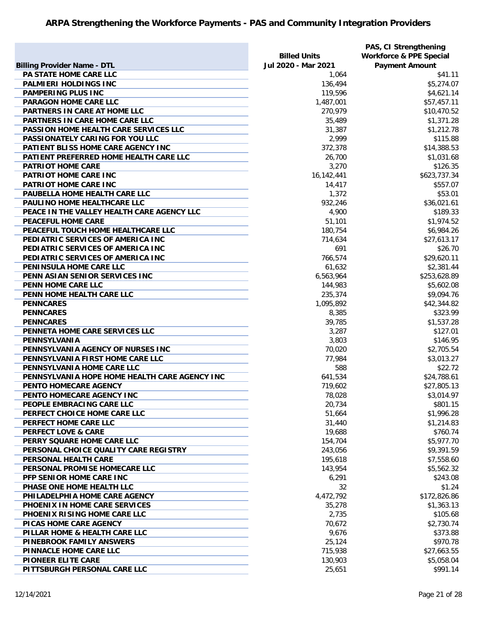|                                               |                     | PAS, CI Strengthening              |
|-----------------------------------------------|---------------------|------------------------------------|
|                                               | <b>Billed Units</b> | <b>Workforce &amp; PPE Special</b> |
| <b>Billing Provider Name - DTL</b>            | Jul 2020 - Mar 2021 | <b>Payment Amount</b>              |
| PA STATE HOME CARE LLC                        | 1,064               | \$41.11                            |
| PALMIERI HOLDINGS INC                         | 136,494             | \$5,274.07                         |
| <b>PAMPERING PLUS INC</b>                     | 119,596             | \$4,621.14                         |
| <b>PARAGON HOME CARE LLC</b>                  | 1,487,001           | \$57,457.11                        |
| PARTNERS IN CARE AT HOME LLC                  | 270,979             | \$10,470.52                        |
| PARTNERS IN CARE HOME CARE LLC                | 35,489              | \$1,371.28                         |
| PASSION HOME HEALTH CARE SERVICES LLC         | 31,387              | \$1,212.78                         |
| PASSIONATELY CARING FOR YOU LLC               | 2,999               | \$115.88                           |
| PATIENT BLISS HOME CARE AGENCY INC            | 372,378             | \$14,388.53                        |
| PATIENT PREFERRED HOME HEALTH CARE LLC        | 26,700              | \$1,031.68                         |
| <b>PATRIOT HOME CARE</b>                      | 3,270               | \$126.35                           |
| PATRIOT HOME CARE INC                         | 16,142,441          | \$623,737.34                       |
| PATRIOT HOME CARE INC                         | 14,417              | \$557.07                           |
| PAUBELLA HOME HEALTH CARE LLC                 | 1,372               | \$53.01                            |
| PAULINO HOME HEALTHCARE LLC                   | 932,246             | \$36,021.61                        |
| PEACE IN THE VALLEY HEALTH CARE AGENCY LLC    | 4,900               | \$189.33                           |
| <b>PEACEFUL HOME CARE</b>                     | 51,101              | \$1,974.52                         |
| PEACEFUL TOUCH HOME HEALTHCARE LLC            | 180,754             | \$6,984.26                         |
| PEDIATRIC SERVICES OF AMERICA INC             | 714,634             | \$27,613.17                        |
| PEDIATRIC SERVICES OF AMERICA INC             | 691                 | \$26.70                            |
| PEDIATRIC SERVICES OF AMERICA INC             | 766,574             | \$29,620.11                        |
| PENINSULA HOME CARE LLC                       | 61,632              | \$2,381.44                         |
| PENN ASIAN SENIOR SERVICES INC                | 6,563,964           | \$253,628.89                       |
| PENN HOME CARE LLC                            | 144,983             | \$5,602.08                         |
| PENN HOME HEALTH CARE LLC                     | 235,374             | \$9,094.76                         |
| <b>PENNCARES</b>                              | 1,095,892           | \$42,344.82                        |
| <b>PENNCARES</b>                              | 8,385               | \$323.99                           |
| <b>PENNCARES</b>                              | 39,785              | \$1,537.28                         |
| PENNETA HOME CARE SERVICES LLC                | 3,287               | \$127.01                           |
| PENNSYLVANIA                                  | 3,803               | \$146.95                           |
| PENNSYLVANIA AGENCY OF NURSES INC             | 70,020              | \$2,705.54                         |
| PENNSYLVANIA FIRST HOME CARE LLC              | 77,984              | \$3,013.27                         |
| PENNSYLVANIA HOME CARE LLC                    | 588                 | \$22.72                            |
| PENNSYLVANIA HOPE HOME HEALTH CARE AGENCY INC | 641,534             | \$24,788.61                        |
| PENTO HOMECARE AGENCY                         | 719,602             | \$27,805.13                        |
| PENTO HOMECARE AGENCY INC                     | 78,028              | \$3,014.97                         |
| PEOPLE EMBRACING CARE LLC                     | 20,734              | \$801.15                           |
| PERFECT CHOICE HOME CARE LLC                  |                     |                                    |
|                                               | 51,664              | \$1,996.28                         |
| PERFECT HOME CARE LLC                         | 31,440              | \$1,214.83                         |
| <b>PERFECT LOVE &amp; CARE</b>                | 19,688              | \$760.74                           |
| PERRY SQUARE HOME CARE LLC                    | 154,704             | \$5,977.70                         |
| PERSONAL CHOICE QUALITY CARE REGISTRY         | 243,056             | \$9,391.59                         |
| PERSONAL HEALTH CARE                          | 195,618             | \$7,558.60                         |
| PERSONAL PROMISE HOMECARE LLC                 | 143,954             | \$5,562.32                         |
| PFP SENIOR HOME CARE INC                      | 6,291               | \$243.08                           |
| PHASE ONE HOME HEALTH LLC                     | 32                  | \$1.24                             |
| PHILADELPHIA HOME CARE AGENCY                 | 4,472,792           | \$172,826.86                       |
| PHOENIX IN HOME CARE SERVICES                 | 35,278              | \$1,363.13                         |
| PHOENIX RISING HOME CARE LLC                  | 2,735               | \$105.68                           |
| PICAS HOME CARE AGENCY                        | 70,672              | \$2,730.74                         |
| PILLAR HOME & HEALTH CARE LLC                 | 9,676               | \$373.88                           |
| PINEBROOK FAMILY ANSWERS                      | 25,124              | \$970.78                           |
| PINNACLE HOME CARE LLC                        | 715,938             | \$27,663.55                        |
| <b>PIONEER ELITE CARE</b>                     | 130,903             | \$5,058.04                         |
| PITTSBURGH PERSONAL CARE LLC                  | 25,651              | \$991.14                           |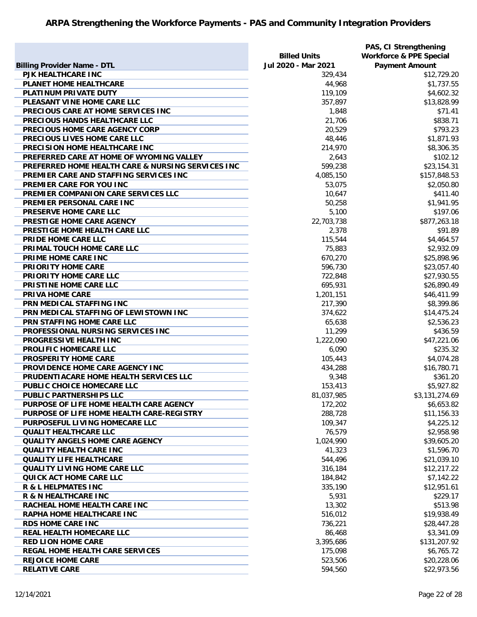|                                                   |                     | PAS, CI Strengthening              |
|---------------------------------------------------|---------------------|------------------------------------|
|                                                   | <b>Billed Units</b> | <b>Workforce &amp; PPE Special</b> |
| <b>Billing Provider Name - DTL</b>                | Jul 2020 - Mar 2021 | <b>Payment Amount</b>              |
| PJK HEALTHCARE INC                                | 329,434             | \$12,729.20                        |
| PLANET HOME HEALTHCARE                            | 44,968              | \$1,737.55                         |
| PLATINUM PRIVATE DUTY                             | 119,109             | \$4,602.32                         |
| PLEASANT VINE HOME CARE LLC                       | 357,897             | \$13,828.99                        |
| PRECIOUS CARE AT HOME SERVICES INC                | 1,848               | \$71.41                            |
| PRECIOUS HANDS HEALTHCARE LLC                     | 21,706              | \$838.71                           |
| PRECIOUS HOME CARE AGENCY CORP                    | 20,529              | \$793.23                           |
| PRECIOUS LIVES HOME CARE LLC                      | 48,446              | \$1,871.93                         |
| PRECISION HOME HEALTHCARE INC                     | 214,970             | \$8,306.35                         |
| PREFERRED CARE AT HOME OF WYOMING VALLEY          | 2,643               | \$102.12                           |
| PREFERRED HOME HEALTH CARE & NURSING SERVICES INC | 599,238             | \$23,154.31                        |
| PREMIER CARE AND STAFFING SERVICES INC            | 4,085,150           | \$157,848.53                       |
| PREMIER CARE FOR YOU INC                          | 53,075              | \$2,050.80                         |
| PREMIER COMPANION CARE SERVICES LLC               | 10,647              | \$411.40                           |
| PREMIER PERSONAL CARE INC                         | 50,258              | \$1,941.95                         |
| <b>PRESERVE HOME CARE LLC</b>                     | 5,100               | \$197.06                           |
| PRESTIGE HOME CARE AGENCY                         | 22,703,738          | \$877,263.18                       |
| PRESTIGE HOME HEALTH CARE LLC                     | 2,378               | \$91.89                            |
| PRIDE HOME CARE LLC                               | 115,544             | \$4,464.57                         |
| PRIMAL TOUCH HOME CARE LLC                        | 75,883              | \$2,932.09                         |
| PRIME HOME CARE INC                               | 670,270             | \$25,898.96                        |
| PRIORITY HOME CARE                                | 596,730             | \$23,057.40                        |
| PRIORITY HOME CARE LLC                            | 722,848             | \$27,930.55                        |
| PRISTINE HOME CARE LLC                            | 695,931             | \$26,890.49                        |
| <b>PRIVA HOME CARE</b>                            | 1,201,151           | \$46,411.99                        |
| PRN MEDICAL STAFFING INC                          | 217,390             | \$8,399.86                         |
| PRN MEDICAL STAFFING OF LEWISTOWN INC             | 374,622             | \$14,475.24                        |
| PRN STAFFING HOME CARE LLC                        | 65,638              | \$2,536.23                         |
| PROFESSIONAL NURSING SERVICES INC                 | 11,299              | \$436.59                           |
| PROGRESSIVE HEALTH INC                            | 1,222,090           | \$47,221.06                        |
| PROLIFIC HOMECARE LLC                             | 6,090               | \$235.32                           |
| PROSPERITY HOME CARE                              | 105,443             | \$4,074.28                         |
| PROVIDENCE HOME CARE AGENCY INC                   | 434,288             | \$16,780.71                        |
| PRUDENTIACARE HOME HEALTH SERVICES LLC            | 9,348               | \$361.20                           |
| PUBLIC CHOICE HOMECARE LLC                        | 153,413             | \$5,927.82                         |
| <b>PUBLIC PARTNERSHIPS LLC</b>                    | 81,037,985          | \$3,131,274.69                     |
| PURPOSE OF LIFE HOME HEALTH CARE AGENCY           | 172,202             | \$6,653.82                         |
| PURPOSE OF LIFE HOME HEALTH CARE-REGISTRY         | 288,728             | \$11,156.33                        |
| PURPOSEFUL LIVING HOMECARE LLC                    | 109,347             | \$4,225.12                         |
| <b>QUALIT HEALTHCARE LLC</b>                      | 76,579              | \$2,958.98                         |
| <b>QUALITY ANGELS HOME CARE AGENCY</b>            | 1,024,990           | \$39,605.20                        |
| <b>QUALITY HEALTH CARE INC</b>                    | 41,323              | \$1,596.70                         |
| <b>QUALITY LIFE HEALTHCARE</b>                    | 544,496             | \$21,039.10                        |
| QUALITY LIVING HOME CARE LLC                      | 316,184             | \$12,217.22                        |
| QUICK ACT HOME CARE LLC                           | 184,842             | \$7,142.22                         |
| <b>R &amp; L HELPMATES INC</b>                    | 335,190             | \$12,951.61                        |
| <b>R &amp; N HEALTHCARE INC</b>                   | 5,931               | \$229.17                           |
| RACHEAL HOME HEALTH CARE INC                      | 13,302              | \$513.98                           |
| <b>RAPHA HOME HEALTHCARE INC</b>                  | 516,012             | \$19,938.49                        |
| <b>RDS HOME CARE INC</b>                          | 736,221             | \$28,447.28                        |
| <b>REAL HEALTH HOMECARE LLC</b>                   | 86,468              | \$3,341.09                         |
| <b>RED LION HOME CARE</b>                         | 3,395,686           | \$131,207.92                       |
| <b>REGAL HOME HEALTH CARE SERVICES</b>            | 175,098             | \$6,765.72                         |
| <b>REJOICE HOME CARE</b>                          | 523,506             | \$20,228.06                        |
| <b>RELATIVE CARE</b>                              | 594,560             | \$22,973.56                        |
|                                                   |                     |                                    |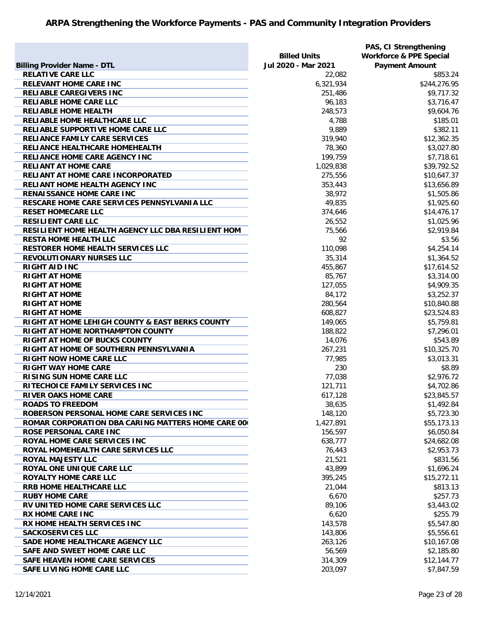| <b>Billing Provider Name - DTL</b>                       | <b>Billed Units</b><br>Jul 2020 - Mar 2021 | PAS, CI Strengthening<br><b>Workforce &amp; PPE Special</b><br><b>Payment Amount</b> |
|----------------------------------------------------------|--------------------------------------------|--------------------------------------------------------------------------------------|
| <b>RELATIVE CARE LLC</b>                                 | 22,082                                     | \$853.24                                                                             |
| <b>RELEVANT HOME CARE INC</b>                            | 6,321,934                                  | \$244,276.95                                                                         |
| <b>RELIABLE CAREGIVERS INC</b>                           | 251,486                                    | \$9,717.32                                                                           |
| <b>RELIABLE HOME CARE LLC</b>                            | 96,183                                     | \$3,716.47                                                                           |
| <b>RELIABLE HOME HEALTH</b>                              | 248,573                                    | \$9,604.76                                                                           |
| RELIABLE HOME HEALTHCARE LLC                             | 4,788                                      | \$185.01                                                                             |
| RELIABLE SUPPORTIVE HOME CARE LLC                        | 9,889                                      | \$382.11                                                                             |
| RELIANCE FAMILY CARE SERVICES                            | 319,940                                    | \$12,362.35                                                                          |
| RELIANCE HEALTHCARE HOMEHEALTH                           | 78,360                                     | \$3,027.80                                                                           |
| <b>RELIANCE HOME CARE AGENCY INC</b>                     | 199,759                                    | \$7,718.61                                                                           |
| <b>RELIANT AT HOME CARE</b>                              | 1,029,838                                  | \$39,792.52                                                                          |
| RELIANT AT HOME CARE INCORPORATED                        | 275,556                                    | \$10,647.37                                                                          |
| <b>RELIANT HOME HEALTH AGENCY INC</b>                    | 353,443                                    | \$13,656.89                                                                          |
| <b>RENAISSANCE HOME CARE INC</b>                         | 38,972                                     | \$1,505.86                                                                           |
| RESCARE HOME CARE SERVICES PENNSYLVANIA LLC              | 49,835                                     | \$1,925.60                                                                           |
| <b>RESET HOMECARE LLC</b>                                | 374,646                                    | \$14,476.17                                                                          |
| <b>RESILIENT CARE LLC</b>                                | 26,552                                     |                                                                                      |
| RESILIENT HOME HEALTH AGENCY LLC DBA RESILIENT HOM       | 75,566                                     | \$1,025.96<br>\$2,919.84                                                             |
|                                                          | 92                                         |                                                                                      |
| <b>RESTA HOME HEALTH LLC</b>                             |                                            | \$3.56                                                                               |
| <b>RESTORER HOME HEALTH SERVICES LLC</b>                 | 110,098                                    | \$4,254.14                                                                           |
| <b>REVOLUTIONARY NURSES LLC</b>                          | 35,314                                     | \$1,364.52                                                                           |
| <b>RIGHT AID INC</b>                                     | 455,867                                    | \$17,614.52                                                                          |
| <b>RIGHT AT HOME</b>                                     | 85,767                                     | \$3,314.00                                                                           |
| <b>RIGHT AT HOME</b>                                     | 127,055                                    | \$4,909.35                                                                           |
| <b>RIGHT AT HOME</b>                                     | 84,172                                     | \$3,252.37                                                                           |
| <b>RIGHT AT HOME</b>                                     | 280,564                                    | \$10,840.88                                                                          |
| <b>RIGHT AT HOME</b>                                     | 608,827                                    | \$23,524.83                                                                          |
| RIGHT AT HOME LEHIGH COUNTY & EAST BERKS COUNTY          | 149,065                                    | \$5,759.81                                                                           |
| RIGHT AT HOME NORTHAMPTON COUNTY                         | 188,822                                    | \$7,296.01                                                                           |
| <b>RIGHT AT HOME OF BUCKS COUNTY</b>                     | 14,076                                     | \$543.89                                                                             |
| RIGHT AT HOME OF SOUTHERN PENNSYLVANIA                   | 267,231                                    | \$10,325.70                                                                          |
| <b>RIGHT NOW HOME CARE LLC</b>                           | 77,985                                     | \$3,013.31                                                                           |
| <b>RIGHT WAY HOME CARE</b>                               | 230                                        | \$8.89                                                                               |
| <b>RISING SUN HOME CARE LLC</b>                          | 77,038                                     | \$2,976.72                                                                           |
| RITECHOICE FAMILY SERVICES INC                           | 121,711                                    | \$4,702.86                                                                           |
| <b>RIVER OAKS HOME CARE</b>                              | 617,128                                    | \$23,845.57                                                                          |
| <b>ROADS TO FREEDOM</b>                                  | 38,635                                     | \$1,492.84                                                                           |
| ROBERSON PERSONAL HOME CARE SERVICES INC                 | 148,120                                    | \$5,723.30                                                                           |
| <b>ROMAR CORPORATION DBA CARING MATTERS HOME CARE 00</b> | 1,427,891                                  | \$55,173.13                                                                          |
| <b>ROSE PERSONAL CARE INC</b>                            | 156,597                                    | \$6,050.84                                                                           |
| <b>ROYAL HOME CARE SERVICES INC</b>                      | 638,777                                    | \$24,682.08                                                                          |
| ROYAL HOMEHEALTH CARE SERVICES LLC                       | 76,443                                     | \$2,953.73                                                                           |
| <b>ROYAL MAJESTY LLC</b>                                 | 21,521                                     | \$831.56                                                                             |
| <b>ROYAL ONE UNIQUE CARE LLC</b>                         | 43,899                                     | \$1,696.24                                                                           |
| <b>ROYALTY HOME CARE LLC</b>                             | 395,245                                    | \$15,272.11                                                                          |
| <b>RRB HOME HEALTHCARE LLC</b>                           | 21,044                                     | \$813.13                                                                             |
| <b>RUBY HOME CARE</b>                                    | 6,670                                      | \$257.73                                                                             |
| RV UNITED HOME CARE SERVICES LLC                         | 89,106                                     | \$3,443.02                                                                           |
| <b>RX HOME CARE INC</b>                                  | 6,620                                      | \$255.79                                                                             |
| <b>RX HOME HEALTH SERVICES INC</b>                       | 143,578                                    | \$5,547.80                                                                           |
| <b>SACKOSERVICES LLC</b>                                 | 143,806                                    | \$5,556.61                                                                           |
| SADE HOME HEALTHCARE AGENCY LLC                          | 263,126                                    | \$10,167.08                                                                          |
| SAFE AND SWEET HOME CARE LLC                             | 56,569                                     | \$2,185.80                                                                           |
| <b>SAFE HEAVEN HOME CARE SERVICES</b>                    | 314,309                                    | \$12,144.77                                                                          |
| SAFE LIVING HOME CARE LLC                                | 203,097                                    | \$7,847.59                                                                           |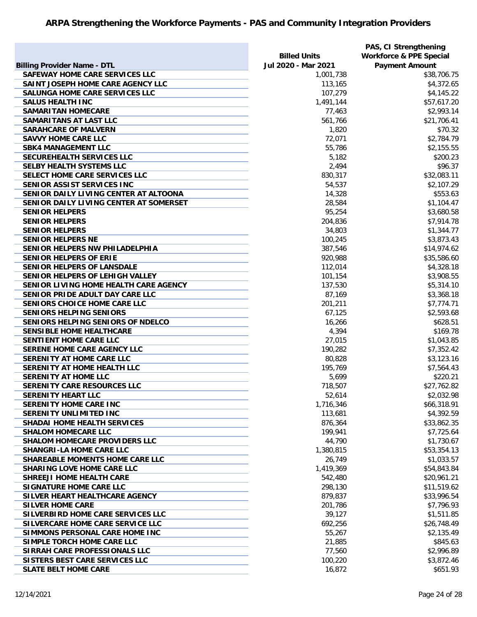|                                        |                     | PAS, CI Strengthening              |
|----------------------------------------|---------------------|------------------------------------|
|                                        | <b>Billed Units</b> | <b>Workforce &amp; PPE Special</b> |
| <b>Billing Provider Name - DTL</b>     | Jul 2020 - Mar 2021 | <b>Payment Amount</b>              |
| SAFEWAY HOME CARE SERVICES LLC         | 1,001,738           | \$38,706.75                        |
| SAINT JOSEPH HOME CARE AGENCY LLC      | 113,165             | \$4,372.65                         |
| <b>SALUNGA HOME CARE SERVICES LLC</b>  | 107,279             | \$4,145.22                         |
| <b>SALUS HEALTH INC</b>                | 1,491,144           | \$57,617.20                        |
| <b>SAMARITAN HOMECARE</b>              | 77,463              | \$2,993.14                         |
| SAMARITANS AT LAST LLC                 | 561,766             | \$21,706.41                        |
| <b>SARAHCARE OF MALVERN</b>            | 1,820               | \$70.32                            |
| <b>SAVVY HOME CARE LLC</b>             | 72,071              | \$2,784.79                         |
| <b>SBK4 MANAGEMENT LLC</b>             | 55,786              | \$2,155.55                         |
| SECUREHEALTH SERVICES LLC              | 5,182               | \$200.23                           |
| <b>SELBY HEALTH SYSTEMS LLC</b>        | 2,494               | \$96.37                            |
| SELECT HOME CARE SERVICES LLC          | 830,317             | \$32,083.11                        |
| SENIOR ASSIST SERVICES INC             | 54,537              | \$2,107.29                         |
| SENIOR DAILY LIVING CENTER AT ALTOONA  | 14,328              | \$553.63                           |
| SENIOR DAILY LIVING CENTER AT SOMERSET | 28,584              | \$1,104.47                         |
| <b>SENIOR HELPERS</b>                  | 95,254              | \$3,680.58                         |
| <b>SENIOR HELPERS</b>                  | 204,836             | \$7,914.78                         |
| <b>SENIOR HELPERS</b>                  | 34,803              | \$1,344.77                         |
| <b>SENIOR HELPERS NE</b>               | 100,245             | \$3,873.43                         |
| SENIOR HELPERS NW PHILADELPHIA         | 387,546             | \$14,974.62                        |
| <b>SENIOR HELPERS OF ERIE</b>          | 920,988             | \$35,586.60                        |
| <b>SENIOR HELPERS OF LANSDALE</b>      | 112,014             | \$4,328.18                         |
| SENIOR HELPERS OF LEHIGH VALLEY        | 101,154             | \$3,908.55                         |
| SENIOR LIVING HOME HEALTH CARE AGENCY  | 137,530             | \$5,314.10                         |
| SENIOR PRIDE ADULT DAY CARE LLC        | 87,169              | \$3,368.18                         |
| SENIORS CHOICE HOME CARE LLC           | 201,211             | \$7,774.71                         |
| <b>SENIORS HELPING SENIORS</b>         | 67,125              | \$2,593.68                         |
| SENIORS HELPING SENIORS OF NDELCO      | 16,266              | \$628.51                           |
| <b>SENSIBLE HOME HEALTHCARE</b>        | 4,394               | \$169.78                           |
| SENTIENT HOME CARE LLC                 | 27,015              | \$1,043.85                         |
| SERENE HOME CARE AGENCY LLC            | 190,282             | \$7,352.42                         |
| SERENITY AT HOME CARE LLC              | 80,828              | \$3,123.16                         |
| SERENITY AT HOME HEALTH LLC            | 195,769             | \$7,564.43                         |
| SERENITY AT HOME LLC                   | 5,699               | \$220.21                           |
| <b>SERENITY CARE RESOURCES LLC</b>     | 718,507             | \$27,762.82                        |
| <b>SERENITY HEART LLC</b>              | 52,614              | \$2,032.98                         |
| SERENITY HOME CARE INC                 | 1,716,346           | \$66,318.91                        |
| <b>SERENITY UNLIMITED INC</b>          | 113,681             | \$4,392.59                         |
| <b>SHADAI HOME HEALTH SERVICES</b>     | 876,364             | \$33,862.35                        |
| <b>SHALOM HOMECARE LLC</b>             | 199,941             | \$7,725.64                         |
| <b>SHALOM HOMECARE PROVIDERS LLC</b>   | 44,790              | \$1,730.67                         |
| <b>SHANGRI-LA HOME CARE LLC</b>        | 1,380,815           | \$53,354.13                        |
| SHAREABLE MOMENTS HOME CARE LLC        | 26,749              | \$1,033.57                         |
| <b>SHARING LOVE HOME CARE LLC</b>      | 1,419,369           | \$54,843.84                        |
| SHREEJI HOME HEALTH CARE               | 542,480             | \$20,961.21                        |
| <b>SIGNATURE HOME CARE LLC</b>         | 298,130             | \$11,519.62                        |
| SILVER HEART HEALTHCARE AGENCY         | 879,837             | \$33,996.54                        |
| <b>SILVER HOME CARE</b>                | 201,786             | \$7,796.93                         |
| SILVERBIRD HOME CARE SERVICES LLC      | 39,127              | \$1,511.85                         |
| SILVERCARE HOME CARE SERVICE LLC       | 692,256             | \$26,748.49                        |
| SIMMONS PERSONAL CARE HOME INC         | 55,267              | \$2,135.49                         |
| SIMPLE TORCH HOME CARE LLC             | 21,885              | \$845.63                           |
| SIRRAH CARE PROFESSIONALS LLC          | 77,560              | \$2,996.89                         |
| SISTERS BEST CARE SERVICES LLC         | 100,220             | \$3,872.46                         |
| <b>SLATE BELT HOME CARE</b>            | 16,872              | \$651.93                           |
|                                        |                     |                                    |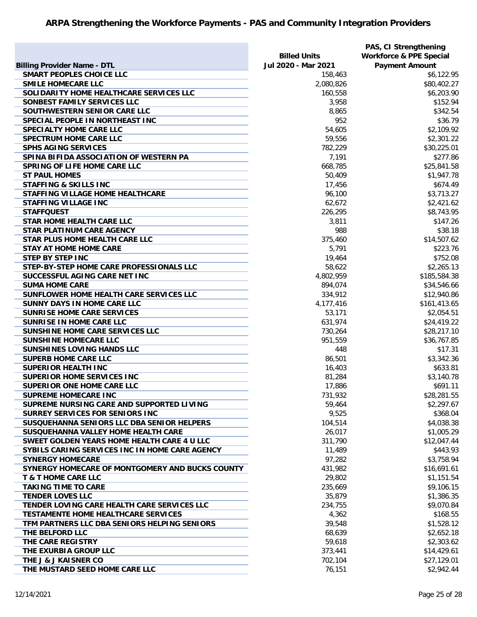|                                                 |                      | PAS, CI Strengthening              |
|-------------------------------------------------|----------------------|------------------------------------|
|                                                 | <b>Billed Units</b>  | <b>Workforce &amp; PPE Special</b> |
| <b>Billing Provider Name - DTL</b>              | Jul 2020 - Mar 2021  | <b>Payment Amount</b>              |
| <b>SMART PEOPLES CHOICE LLC</b>                 | 158,463              | \$6,122.95                         |
| <b>SMILE HOMECARE LLC</b>                       | 2,080,826            | \$80,402.27                        |
| SOLIDARITY HOME HEALTHCARE SERVICES LLC         | 160,558              | \$6,203.90                         |
| SONBEST FAMILY SERVICES LLC                     | 3,958                | \$152.94                           |
| SOUTHWESTERN SENIOR CARE LLC                    | 8,865                | \$342.54                           |
| SPECIAL PEOPLE IN NORTHEAST INC                 | 952                  | \$36.79                            |
| <b>SPECIALTY HOME CARE LLC</b>                  | 54,605               | \$2,109.92                         |
| <b>SPECTRUM HOME CARE LLC</b>                   | 59,556               | \$2,301.22                         |
| <b>SPHS AGING SERVICES</b>                      | 782,229              | \$30,225.01                        |
| SPINA BIFIDA ASSOCIATION OF WESTERN PA          | 7,191                | \$277.86                           |
| <b>SPRING OF LIFE HOME CARE LLC</b>             | 668,785              | \$25,841.58                        |
| <b>ST PAUL HOMES</b>                            | 50,409               | \$1,947.78                         |
| <b>STAFFING &amp; SKILLS INC</b>                | 17,456               | \$674.49                           |
| STAFFING VILLAGE HOME HEALTHCARE                | 96,100               | \$3,713.27                         |
| <b>STAFFING VILLAGE INC</b>                     | 62,672               | \$2,421.62                         |
| <b>STAFFQUEST</b>                               | 226,295              | \$8,743.95                         |
| <b>STAR HOME HEALTH CARE LLC</b>                | 3,811                | \$147.26                           |
| <b>STAR PLATINUM CARE AGENCY</b>                | 988                  | \$38.18                            |
| STAR PLUS HOME HEALTH CARE LLC                  | 375,460              | \$14,507.62                        |
| <b>STAY AT HOME HOME CARE</b>                   | 5,791                | \$223.76                           |
| <b>STEP BY STEP INC</b>                         | 19,464               | \$752.08                           |
| STEP-BY-STEP HOME CARE PROFESSIONALS LLC        | 58,622               | \$2,265.13                         |
| SUCCESSFUL AGING CARE NET INC                   | 4,802,959            | \$185,584.38                       |
| <b>SUMA HOME CARE</b>                           |                      |                                    |
| SUNFLOWER HOME HEALTH CARE SERVICES LLC         | 894,074              | \$34,546.66                        |
| SUNNY DAYS IN HOME CARE LLC                     | 334,912<br>4,177,416 | \$12,940.86                        |
|                                                 |                      | \$161,413.65                       |
| <b>SUNRISE HOME CARE SERVICES</b>               | 53,171               | \$2,054.51                         |
| <b>SUNRISE IN HOME CARE LLC</b>                 | 631,974              | \$24,419.22                        |
| SUNSHINE HOME CARE SERVICES LLC                 | 730,264              | \$28,217.10                        |
| <b>SUNSHINE HOMECARE LLC</b>                    | 951,559              | \$36,767.85                        |
| SUNSHINES LOVING HANDS LLC                      | 448                  | \$17.31                            |
| <b>SUPERB HOME CARE LLC</b>                     | 86,501               | \$3,342.36                         |
| <b>SUPERIOR HEALTH INC</b>                      | 16,403               | \$633.81                           |
| <b>SUPERIOR HOME SERVICES INC</b>               | 81,284               | \$3,140.78                         |
| <b>SUPERIOR ONE HOME CARE LLC</b>               | 17,886               | \$691.11                           |
| <b>SUPREME HOMECARE INC</b>                     | 731,932              | \$28,281.55                        |
| SUPREME NURSING CARE AND SUPPORTED LIVING       | 59,464               | \$2,297.67                         |
| SURREY SERVICES FOR SENIORS INC                 | 9,525                | \$368.04                           |
| SUSQUEHANNA SENIORS LLC DBA SENIOR HELPERS      | 104,514              | \$4,038.38                         |
| SUSQUEHANNA VALLEY HOME HEALTH CARE             | 26,017               | \$1,005.29                         |
| SWEET GOLDEN YEARS HOME HEALTH CARE 4 U LLC     | 311,790              | \$12,047.44                        |
| SYBILS CARING SERVICES INC IN HOME CARE AGENCY  | 11,489               | \$443.93                           |
| <b>SYNERGY HOMECARE</b>                         | 97,282               | \$3,758.94                         |
| SYNERGY HOMECARE OF MONTGOMERY AND BUCKS COUNTY | 431,982              | \$16,691.61                        |
| <b>T &amp; T HOME CARE LLC</b>                  | 29,802               | \$1,151.54                         |
| <b>TAKING TIME TO CARE</b>                      | 235,669              | \$9,106.15                         |
| <b>TENDER LOVES LLC</b>                         | 35,879               | \$1,386.35                         |
| TENDER LOVING CARE HEALTH CARE SERVICES LLC     | 234,755              | \$9,070.84                         |
| <b>TESTAMENTE HOME HEALTHCARE SERVICES</b>      | 4,362                | \$168.55                           |
| TFM PARTNERS LLC DBA SENIORS HELPING SENIORS    | 39,548               | \$1,528.12                         |
| THE BELFORD LLC                                 | 68,639               | \$2,652.18                         |
| THE CARE REGISTRY                               | 59,618               | \$2,303.62                         |
| THE EXURBIA GROUP LLC                           | 373,441              | \$14,429.61                        |
| THE J & J KAISNER CO                            | 702,104              | \$27,129.01                        |
| THE MUSTARD SEED HOME CARE LLC                  | 76,151               | \$2,942.44                         |
|                                                 |                      |                                    |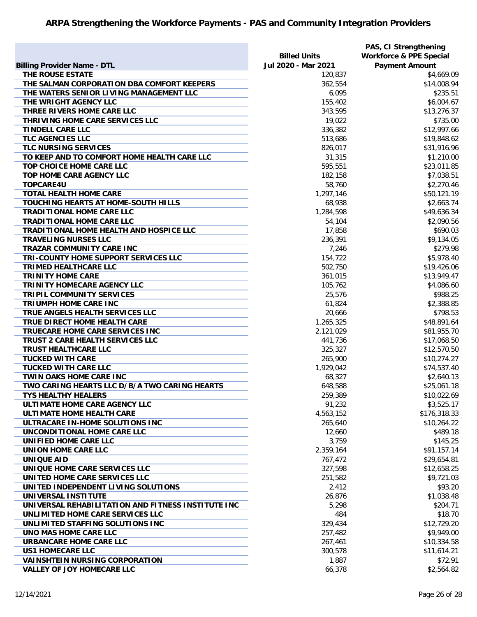|                                                    |                     | PAS, CI Strengthening              |
|----------------------------------------------------|---------------------|------------------------------------|
|                                                    | <b>Billed Units</b> | <b>Workforce &amp; PPE Special</b> |
| <b>Billing Provider Name - DTL</b>                 | Jul 2020 - Mar 2021 | <b>Payment Amount</b>              |
| THE ROUSE ESTATE                                   | 120,837             | \$4,669.09                         |
| THE SALMAN CORPORATION DBA COMFORT KEEPERS         | 362,554             | \$14,008.94                        |
| THE WATERS SENIOR LIVING MANAGEMENT LLC            | 6,095               | \$235.51                           |
| THE WRIGHT AGENCY LLC                              | 155,402             | \$6,004.67                         |
| THREE RIVERS HOME CARE LLC                         | 343,595             | \$13,276.37                        |
| THRIVING HOME CARE SERVICES LLC                    | 19,022              | \$735.00                           |
| <b>TINDELL CARE LLC</b>                            | 336,382             | \$12,997.66                        |
| <b>TLC AGENCIES LLC</b>                            | 513,686             | \$19,848.62                        |
| <b>TLC NURSING SERVICES</b>                        | 826,017             | \$31,916.96                        |
| TO KEEP AND TO COMFORT HOME HEALTH CARE LLC        | 31,315              | \$1,210.00                         |
| TOP CHOICE HOME CARE LLC                           | 595,551             | \$23,011.85                        |
| TOP HOME CARE AGENCY LLC                           | 182,158             | \$7,038.51                         |
| <b>TOPCARE4U</b>                                   | 58,760              | \$2,270.46                         |
| <b>TOTAL HEALTH HOME CARE</b>                      | 1,297,146           | \$50,121.19                        |
| TOUCHING HEARTS AT HOME-SOUTH HILLS                | 68,938              | \$2,663.74                         |
| <b>TRADITIONAL HOME CARE LLC</b>                   | 1,284,598           | \$49,636.34                        |
| <b>TRADITIONAL HOME CARE LLC</b>                   | 54,104              | \$2,090.56                         |
| TRADITIONAL HOME HEALTH AND HOSPICE LLC            | 17,858              | \$690.03                           |
| <b>TRAVELING NURSES LLC</b>                        | 236,391             | \$9,134.05                         |
| <b>TRAZAR COMMUNITY CARE INC</b>                   | 7,246               | \$279.98                           |
| TRI-COUNTY HOME SUPPORT SERVICES LLC               | 154,722             | \$5,978.40                         |
| <b>TRIMED HEALTHCARE LLC</b>                       | 502,750             | \$19,426.06                        |
| <b>TRINITY HOME CARE</b>                           | 361,015             | \$13,949.47                        |
| TRINITY HOMECARE AGENCY LLC                        | 105,762             | \$4,086.60                         |
| TRIPIL COMMUNITY SERVICES                          | 25,576              | \$988.25                           |
| <b>TRIUMPH HOME CARE INC</b>                       | 61,824              | \$2,388.85                         |
| TRUE ANGELS HEALTH SERVICES LLC                    | 20,666              | \$798.53                           |
| TRUE DIRECT HOME HEALTH CARE                       | 1,265,325           | \$48,891.64                        |
| TRUECARE HOME CARE SERVICES INC                    | 2,121,029           | \$81,955.70                        |
| TRUST 2 CARE HEALTH SERVICES LLC                   | 441,736             | \$17,068.50                        |
| <b>TRUST HEALTHCARE LLC</b>                        | 325,327             | \$12,570.50                        |
| <b>TUCKED WITH CARE</b>                            | 265,900             | \$10,274.27                        |
| <b>TUCKED WITH CARE LLC</b>                        | 1,929,042           | \$74,537.40                        |
| TWIN OAKS HOME CARE INC                            | 68,327              | \$2,640.13                         |
| TWO CARING HEARTS LLC D/B/A TWO CARING HEARTS      | 648,588             | \$25,061.18                        |
| <b>TYS HEALTHY HEALERS</b>                         | 259,389             | \$10,022.69                        |
| ULTIMATE HOME CARE AGENCY LLC                      | 91,232              | \$3,525.17                         |
| <b>ULTIMATE HOME HEALTH CARE</b>                   | 4,563,152           | \$176,318.33                       |
| ULTRACARE IN-HOME SOLUTIONS INC                    | 265,640             | \$10,264.22                        |
| UNCONDITIONAL HOME CARE LLC                        | 12,660              | \$489.18                           |
| UNIFIED HOME CARE LLC                              | 3,759               | \$145.25                           |
| UNION HOME CARE LLC                                | 2,359,164           | \$91,157.14                        |
| <b>UNIQUE AID</b>                                  | 767,472             | \$29,654.81                        |
| UNIQUE HOME CARE SERVICES LLC                      | 327,598             | \$12,658.25                        |
| UNITED HOME CARE SERVICES LLC                      | 251,582             | \$9,721.03                         |
| UNITED INDEPENDENT LIVING SOLUTIONS                | 2,412               | \$93.20                            |
| UNIVERSAL INSTITUTE                                | 26,876              | \$1,038.48                         |
| UNIVERSAL REHABILITATION AND FITNESS INSTITUTE INC | 5,298               | \$204.71                           |
| UNLIMITED HOME CARE SERVICES LLC                   | 484                 | \$18.70                            |
| UNLIMITED STAFFING SOLUTIONS INC                   | 329,434             | \$12,729.20                        |
| UNO MAS HOME CARE LLC                              | 257,482             | \$9,949.00                         |
| URBANCARE HOME CARE LLC                            | 267,461             | \$10,334.58                        |
| <b>US1 HOMECARE LLC</b>                            | 300,578             | \$11,614.21                        |
| <b>VAINSHTEIN NURSING CORPORATION</b>              | 1,887               | \$72.91                            |
| <b>VALLEY OF JOY HOMECARE LLC</b>                  | 66,378              | \$2,564.82                         |
|                                                    |                     |                                    |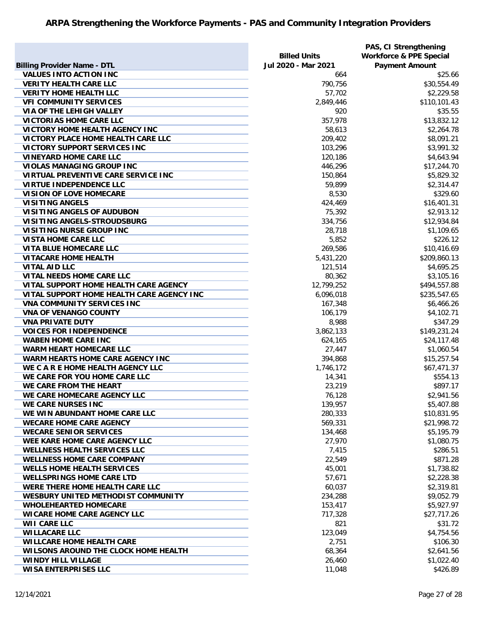| <b>Billing Provider Name - DTL</b>                              | <b>Billed Units</b><br>Jul 2020 - Mar 2021 | PAS, CI Strengthening<br><b>Workforce &amp; PPE Special</b><br><b>Payment Amount</b> |
|-----------------------------------------------------------------|--------------------------------------------|--------------------------------------------------------------------------------------|
| <b>VALUES INTO ACTION INC</b>                                   | 664                                        | \$25.66                                                                              |
| <b>VERITY HEALTH CARE LLC</b>                                   | 790,756                                    | \$30,554.49                                                                          |
| <b>VERITY HOME HEALTH LLC</b>                                   | 57,702                                     | \$2,229.58                                                                           |
| <b>VFI COMMUNITY SERVICES</b>                                   | 2,849,446                                  | \$110,101.43                                                                         |
| VIA OF THE LEHIGH VALLEY                                        | 920                                        | \$35.55                                                                              |
| <b>VICTORIAS HOME CARE LLC</b>                                  | 357,978                                    | \$13,832.12                                                                          |
| VICTORY HOME HEALTH AGENCY INC                                  | 58,613                                     | \$2,264.78                                                                           |
| VICTORY PLACE HOME HEALTH CARE LLC                              | 209,402                                    | \$8,091.21                                                                           |
| <b>VICTORY SUPPORT SERVICES INC</b>                             | 103,296                                    | \$3,991.32                                                                           |
| <b>VINEYARD HOME CARE LLC</b>                                   | 120,186                                    | \$4,643.94                                                                           |
| <b>VIOLAS MANAGING GROUP INC</b>                                | 446,296                                    | \$17,244.70                                                                          |
| VIRTUAL PREVENTIVE CARE SERVICE INC                             | 150,864                                    | \$5,829.32                                                                           |
| <b>VIRTUE INDEPENDENCE LLC</b>                                  | 59,899                                     | \$2,314.47                                                                           |
| <b>VISION OF LOVE HOMECARE</b>                                  | 8,530                                      | \$329.60                                                                             |
| <b>VISITING ANGELS</b>                                          | 424,469                                    | \$16,401.31                                                                          |
| <b>VISITING ANGELS OF AUDUBON</b>                               | 75,392                                     | \$2,913.12                                                                           |
| VISITING ANGELS-STROUDSBURG                                     | 334,756                                    | \$12,934.84                                                                          |
| <b>VISITING NURSE GROUP INC</b>                                 | 28,718                                     | \$1,109.65                                                                           |
| <b>VISTA HOME CARE LLC</b>                                      | 5,852                                      | \$226.12                                                                             |
| VITA BLUE HOMECARE LLC                                          | 269,586                                    | \$10,416.69                                                                          |
| <b>VITACARE HOME HEALTH</b>                                     | 5,431,220                                  | \$209,860.13                                                                         |
| <b>VITAL AID LLC</b>                                            | 121,514                                    | \$4,695.25                                                                           |
| VITAL NEEDS HOME CARE LLC                                       | 80,362                                     | \$3,105.16                                                                           |
| VITAL SUPPORT HOME HEALTH CARE AGENCY                           | 12,799,252                                 | \$494,557.88                                                                         |
| VITAL SUPPORT HOME HEALTH CARE AGENCY INC                       | 6,096,018                                  | \$235,547.65                                                                         |
| <b>VNA COMMUNITY SERVICES INC</b>                               | 167,348                                    | \$6,466.26                                                                           |
| <b>VNA OF VENANGO COUNTY</b>                                    | 106,179                                    | \$4,102.71                                                                           |
| <b>VNA PRIVATE DUTY</b>                                         | 8,988                                      | \$347.29                                                                             |
| <b>VOICES FOR INDEPENDENCE</b>                                  | 3,862,133                                  | \$149,231.24                                                                         |
| <b>WABEN HOME CARE INC</b>                                      | 624,165                                    | \$24,117.48                                                                          |
| <b>WARM HEART HOMECARE LLC</b>                                  | 27,447                                     | \$1,060.54                                                                           |
| <b>WARM HEARTS HOME CARE AGENCY INC</b>                         | 394,868                                    | \$15,257.54                                                                          |
| WE C A R E HOME HEALTH AGENCY LLC                               | 1,746,172                                  | \$67,471.37                                                                          |
| WE CARE FOR YOU HOME CARE LLC                                   | 14,341                                     | \$554.13                                                                             |
| WE CARE FROM THE HEART                                          | 23,219                                     | \$897.17                                                                             |
| WE CARE HOMECARE AGENCY LLC                                     | 76,128                                     | \$2,941.56                                                                           |
| <b>WE CARE NURSES INC</b>                                       | 139,957                                    | \$5,407.88                                                                           |
| WE WIN ABUNDANT HOME CARE LLC                                   | 280,333                                    | \$10,831.95                                                                          |
| <b>WECARE HOME CARE AGENCY</b><br><b>WECARE SENIOR SERVICES</b> | 569,331                                    | \$21,998.72<br>\$5,195.79                                                            |
| WEE KARE HOME CARE AGENCY LLC                                   | 134,468<br>27,970                          | \$1,080.75                                                                           |
| <b>WELLNESS HEALTH SERVICES LLC</b>                             | 7,415                                      | \$286.51                                                                             |
| <b>WELLNESS HOME CARE COMPANY</b>                               | 22,549                                     | \$871.28                                                                             |
| <b>WELLS HOME HEALTH SERVICES</b>                               | 45,001                                     | \$1,738.82                                                                           |
| <b>WELLSPRINGS HOME CARE LTD</b>                                | 57,671                                     | \$2,228.38                                                                           |
| WERE THERE HOME HEALTH CARE LLC                                 | 60,037                                     | \$2,319.81                                                                           |
| WESBURY UNITED METHODIST COMMUNITY                              | 234,288                                    | \$9,052.79                                                                           |
| <b>WHOLEHEARTED HOMECARE</b>                                    | 153,417                                    | \$5,927.97                                                                           |
| <b>WICARE HOME CARE AGENCY LLC</b>                              | 717,328                                    | \$27,717.26                                                                          |
| <b>WII CARE LLC</b>                                             | 821                                        | \$31.72                                                                              |
| <b>WILLACARE LLC</b>                                            | 123,049                                    | \$4,754.56                                                                           |
| <b>WILLCARE HOME HEALTH CARE</b>                                | 2,751                                      | \$106.30                                                                             |
| <b>WILSONS AROUND THE CLOCK HOME HEALTH</b>                     | 68,364                                     | \$2,641.56                                                                           |
| WINDY HILL VILLAGE                                              | 26,460                                     | \$1,022.40                                                                           |
| <b>WISA ENTERPRISES LLC</b>                                     | 11,048                                     | \$426.89                                                                             |
|                                                                 |                                            |                                                                                      |